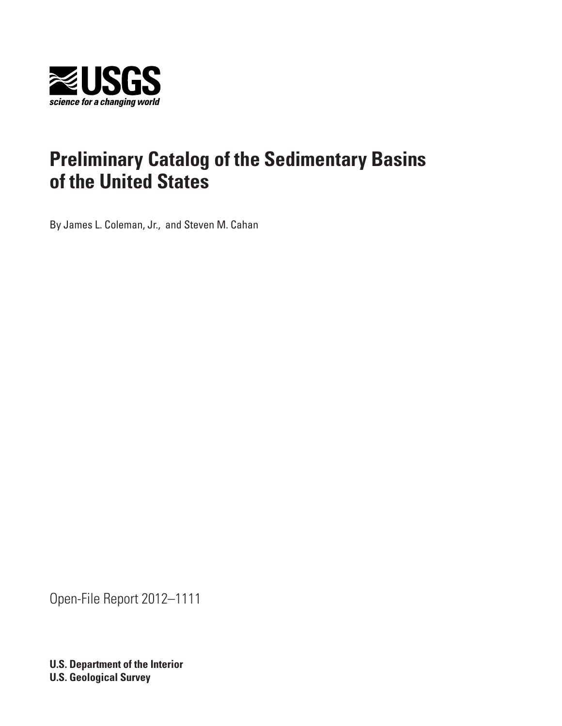

By James L. Coleman, Jr., and Steven M. Cahan

Open-File Report 2012–1111

**U.S. Department of the Interior U.S. Geological Survey**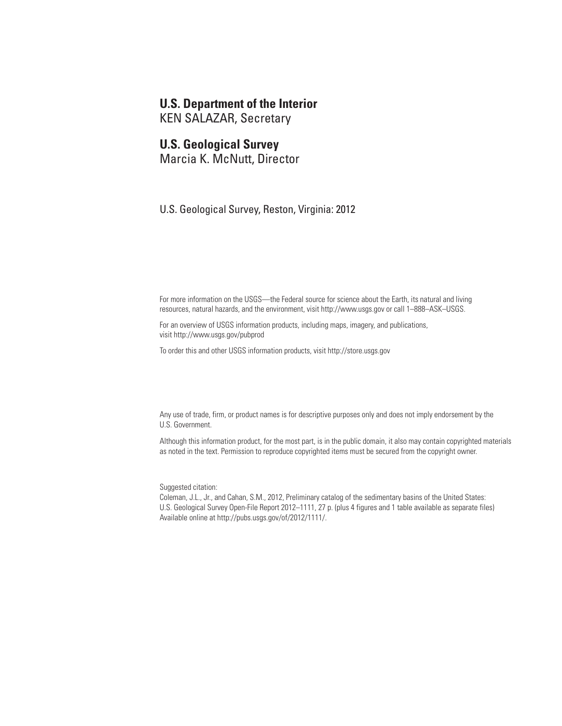# **U.S. Department of the Interior**

KEN SALAZAR, Secretary

# **U.S. Geological Survey**

Marcia K. McNutt, Director

U.S. Geological Survey, Reston, Virginia: 2012

For more information on the USGS—the Federal source for science about the Earth, its natural and living resources, natural hazards, and the environment, visit <http://www.usgs.gov>or call 1–888–ASK–USGS.

For an overview of USGS information products, including maps, imagery, and publications, visit<http://www.usgs.gov/pubprod>

To order this and other USGS information products, visit<http://store.usgs.gov>

Any use of trade, firm, or product names is for descriptive purposes only and does not imply endorsement by the U.S. Government.

Although this information product, for the most part, is in the public domain, it also may contain copyrighted materials as noted in the text. Permission to reproduce copyrighted items must be secured from the copyright owner.

Suggested citation:

Coleman, J.L., Jr., and Cahan, S.M., 2012, Preliminary catalog of the sedimentary basins of the United States: U.S. Geological Survey Open-File Report 2012–1111, 27 p. (plus 4 figures and 1 table available as separate files) Available online at http://pubs.usgs.gov/of/2012/1111/.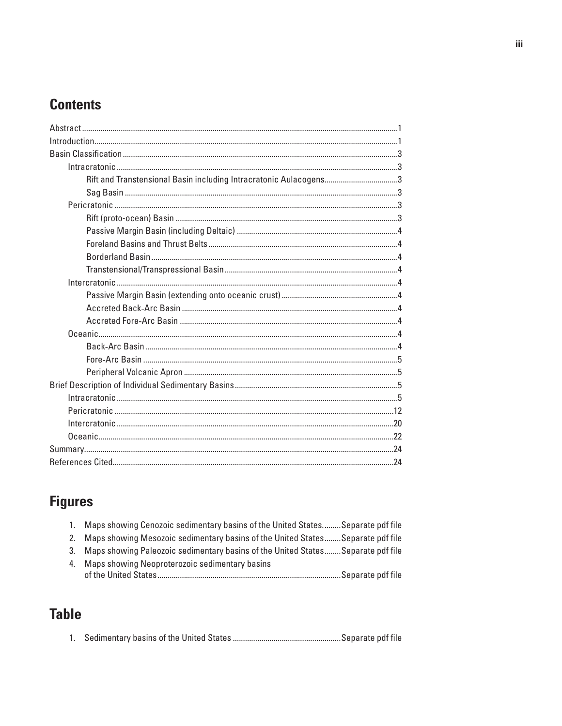# **Contents**

| Rift and Transtensional Basin including Intracratonic Aulacogens3 |  |
|-------------------------------------------------------------------|--|
|                                                                   |  |
|                                                                   |  |
|                                                                   |  |
|                                                                   |  |
|                                                                   |  |
|                                                                   |  |
|                                                                   |  |
|                                                                   |  |
|                                                                   |  |
|                                                                   |  |
|                                                                   |  |
|                                                                   |  |
|                                                                   |  |
|                                                                   |  |
|                                                                   |  |
|                                                                   |  |
|                                                                   |  |
|                                                                   |  |
|                                                                   |  |
|                                                                   |  |
|                                                                   |  |
|                                                                   |  |

# **Figures**

| 1. Maps showing Cenozoic sedimentary basins of the United States Separate pdf file  |
|-------------------------------------------------------------------------------------|
| 2. Maps showing Mesozoic sedimentary basins of the United States Separate pdf file  |
| 3. Maps showing Paleozoic sedimentary basins of the United States Separate pdf file |
| 4. Maps showing Neoproterozoic sedimentary basins                                   |
|                                                                                     |

# **Table**

|--|--|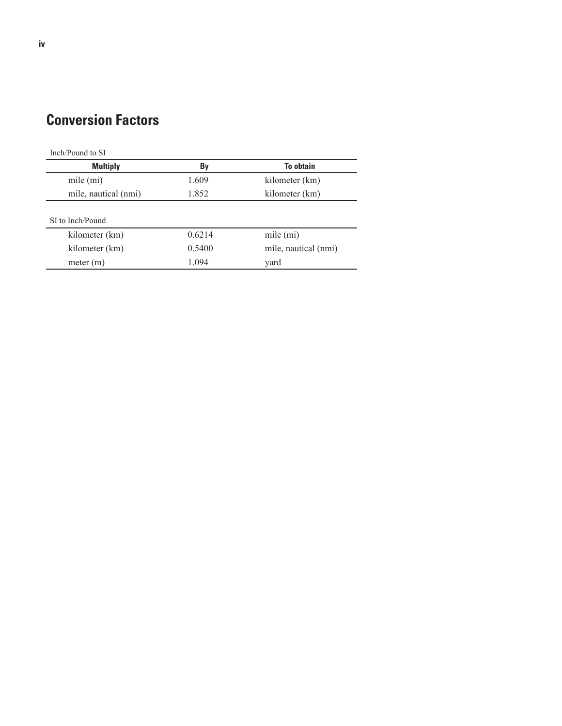# **Conversion Factors**

| Inch/Pound to SI     |        |                      |
|----------------------|--------|----------------------|
| <b>Multiply</b>      | By     | <b>To obtain</b>     |
| mile $(mi)$          | 1.609  | kilometer (km)       |
| mile, nautical (nmi) | 1.852  | kilometer (km)       |
|                      |        |                      |
| SI to Inch/Pound     |        |                      |
| kilometer (km)       | 0.6214 | mile (mi)            |
| kilometer (km)       | 0.5400 | mile, nautical (nmi) |
| meter $(m)$          | 1.094  | yard                 |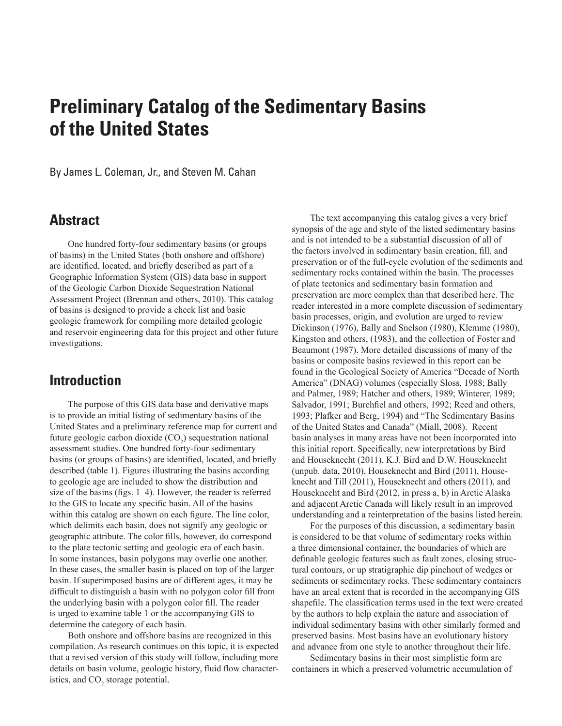By James L. Coleman, Jr., and Steven M. Cahan

# **Abstract**

One hundred forty-four sedimentary basins (or groups of basins) in the United States (both onshore and offshore) are identified, located, and briefly described as part of a Geographic Information System (GIS) data base in support of the Geologic Carbon Dioxide Sequestration National Assessment Project (Brennan and others, 2010). This catalog of basins is designed to provide a check list and basic geologic framework for compiling more detailed geologic and reservoir engineering data for this project and other future investigations.

# **Introduction**

The purpose of this GIS data base and derivative maps is to provide an initial listing of sedimentary basins of the United States and a preliminary reference map for current and future geologic carbon dioxide  $(CO_2)$  sequestration national assessment studies. One hundred forty-four sedimentary basins (or groups of basins) are identified, located, and briefly described (table 1). Figures illustrating the basins according to geologic age are included to show the distribution and size of the basins (figs. 1–4). However, the reader is referred to the GIS to locate any specific basin. All of the basins within this catalog are shown on each figure. The line color, which delimits each basin, does not signify any geologic or geographic attribute. The color fills, however, do correspond to the plate tectonic setting and geologic era of each basin. In some instances, basin polygons may overlie one another. In these cases, the smaller basin is placed on top of the larger basin. If superimposed basins are of different ages, it may be difficult to distinguish a basin with no polygon color fill from the underlying basin with a polygon color fill. The reader is urged to examine table 1 or the accompanying GIS to determine the category of each basin.

Both onshore and offshore basins are recognized in this compilation. As research continues on this topic, it is expected that a revised version of this study will follow, including more details on basin volume, geologic history, fluid flow characteristics, and  $CO<sub>2</sub>$  storage potential.

The text accompanying this catalog gives a very brief synopsis of the age and style of the listed sedimentary basins and is not intended to be a substantial discussion of all of the factors involved in sedimentary basin creation, fill, and preservation or of the full-cycle evolution of the sediments and sedimentary rocks contained within the basin. The processes of plate tectonics and sedimentary basin formation and preservation are more complex than that described here. The reader interested in a more complete discussion of sedimentary basin processes, origin, and evolution are urged to review Dickinson (1976), Bally and Snelson (1980), Klemme (1980), Kingston and others, (1983), and the collection of Foster and Beaumont (1987). More detailed discussions of many of the basins or composite basins reviewed in this report can be found in the Geological Society of America "Decade of North America" (DNAG) volumes (especially Sloss, 1988; Bally and Palmer, 1989; Hatcher and others, 1989; Winterer, 1989; Salvador, 1991; Burchfiel and others, 1992; Reed and others, 1993; Plafker and Berg, 1994) and "The Sedimentary Basins of the United States and Canada" (Miall, 2008). Recent basin analyses in many areas have not been incorporated into this initial report. Specifically, new interpretations by Bird and Houseknecht (2011), K.J. Bird and D.W. Houseknecht (unpub. data, 2010), Houseknecht and Bird (2011), Houseknecht and Till (2011), Houseknecht and others (2011), and Houseknecht and Bird (2012, in press a, b) in Arctic Alaska and adjacent Arctic Canada will likely result in an improved understanding and a reinterpretation of the basins listed herein.

For the purposes of this discussion, a sedimentary basin is considered to be that volume of sedimentary rocks within a three dimensional container, the boundaries of which are definable geologic features such as fault zones, closing structural contours, or up stratigraphic dip pinchout of wedges or sediments or sedimentary rocks. These sedimentary containers have an areal extent that is recorded in the accompanying GIS shapefile. The classification terms used in the text were created by the authors to help explain the nature and association of individual sedimentary basins with other similarly formed and preserved basins. Most basins have an evolutionary history and advance from one style to another throughout their life.

Sedimentary basins in their most simplistic form are containers in which a preserved volumetric accumulation of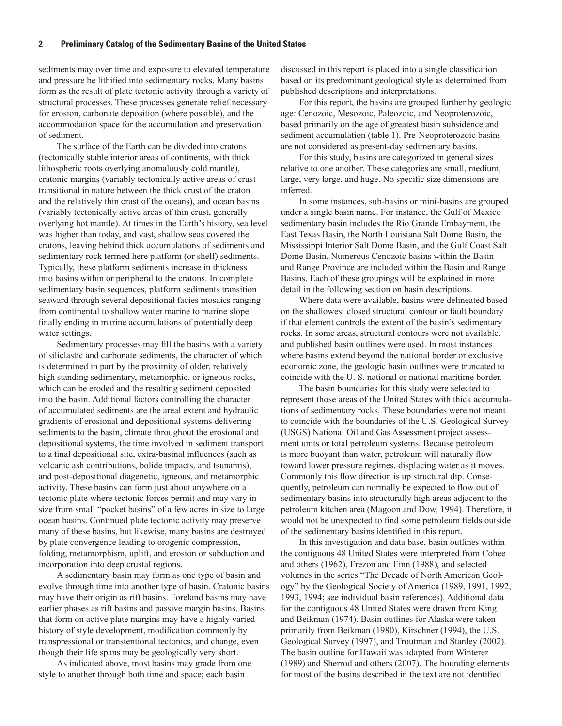sediments may over time and exposure to elevated temperature and pressure be lithified into sedimentary rocks. Many basins form as the result of plate tectonic activity through a variety of structural processes. These processes generate relief necessary for erosion, carbonate deposition (where possible), and the accommodation space for the accumulation and preservation of sediment.

The surface of the Earth can be divided into cratons (tectonically stable interior areas of continents, with thick lithospheric roots overlying anomalously cold mantle), cratonic margins (variably tectonically active areas of crust transitional in nature between the thick crust of the craton and the relatively thin crust of the oceans), and ocean basins (variably tectonically active areas of thin crust, generally overlying hot mantle). At times in the Earth's history, sea level was higher than today, and vast, shallow seas covered the cratons, leaving behind thick accumulations of sediments and sedimentary rock termed here platform (or shelf) sediments. Typically, these platform sediments increase in thickness into basins within or peripheral to the cratons. In complete sedimentary basin sequences, platform sediments transition seaward through several depositional facies mosaics ranging from continental to shallow water marine to marine slope finally ending in marine accumulations of potentially deep water settings.

Sedimentary processes may fill the basins with a variety of siliclastic and carbonate sediments, the character of which is determined in part by the proximity of older, relatively high standing sedimentary, metamorphic, or igneous rocks, which can be eroded and the resulting sediment deposited into the basin. Additional factors controlling the character of accumulated sediments are the areal extent and hydraulic gradients of erosional and depositional systems delivering sediments to the basin, climate throughout the erosional and depositional systems, the time involved in sediment transport to a final depositional site, extra-basinal influences (such as volcanic ash contributions, bolide impacts, and tsunamis), and post-depositional diagenetic, igneous, and metamorphic activity. These basins can form just about anywhere on a tectonic plate where tectonic forces permit and may vary in size from small "pocket basins" of a few acres in size to large ocean basins. Continued plate tectonic activity may preserve many of these basins, but likewise, many basins are destroyed by plate convergence leading to orogenic compression, folding, metamorphism, uplift, and erosion or subduction and incorporation into deep crustal regions.

A sedimentary basin may form as one type of basin and evolve through time into another type of basin. Cratonic basins may have their origin as rift basins. Foreland basins may have earlier phases as rift basins and passive margin basins. Basins that form on active plate margins may have a highly varied history of style development, modification commonly by transpressional or transtentional tectonics, and change, even though their life spans may be geologically very short.

As indicated above, most basins may grade from one style to another through both time and space; each basin

discussed in this report is placed into a single classification based on its predominant geological style as determined from published descriptions and interpretations.

For this report, the basins are grouped further by geologic age: Cenozoic, Mesozoic, Paleozoic, and Neoproterozoic, based primarily on the age of greatest basin subsidence and sediment accumulation (table 1). Pre-Neoproterozoic basins are not considered as present-day sedimentary basins.

For this study, basins are categorized in general sizes relative to one another. These categories are small, medium, large, very large, and huge. No specific size dimensions are inferred.

In some instances, sub-basins or mini-basins are grouped under a single basin name. For instance, the Gulf of Mexico sedimentary basin includes the Rio Grande Embayment, the East Texas Basin, the North Louisiana Salt Dome Basin, the Mississippi Interior Salt Dome Basin, and the Gulf Coast Salt Dome Basin. Numerous Cenozoic basins within the Basin and Range Province are included within the Basin and Range Basins. Each of these groupings will be explained in more detail in the following section on basin descriptions.

Where data were available, basins were delineated based on the shallowest closed structural contour or fault boundary if that element controls the extent of the basin's sedimentary rocks. In some areas, structural contours were not available, and published basin outlines were used. In most instances where basins extend beyond the national border or exclusive economic zone, the geologic basin outlines were truncated to coincide with the U. S. national or national maritime border.

The basin boundaries for this study were selected to represent those areas of the United States with thick accumulations of sedimentary rocks. These boundaries were not meant to coincide with the boundaries of the U.S. Geological Survey (USGS) National Oil and Gas Assessment project assessment units or total petroleum systems. Because petroleum is more buoyant than water, petroleum will naturally flow toward lower pressure regimes, displacing water as it moves. Commonly this flow direction is up structural dip. Consequently, petroleum can normally be expected to flow out of sedimentary basins into structurally high areas adjacent to the petroleum kitchen area (Magoon and Dow, 1994). Therefore, it would not be unexpected to find some petroleum fields outside of the sedimentary basins identified in this report.

In this investigation and data base, basin outlines within the contiguous 48 United States were interpreted from Cohee and others (1962), Frezon and Finn (1988), and selected volumes in the series "The Decade of North American Geology" by the Geological Society of America (1989, 1991, 1992, 1993, 1994; see individual basin references). Additional data for the contiguous 48 United States were drawn from King and Beikman (1974). Basin outlines for Alaska were taken primarily from Beikman (1980), Kirschner (1994), the U.S. Geological Survey (1997), and Troutman and Stanley (2002). The basin outline for Hawaii was adapted from Winterer (1989) and Sherrod and others (2007). The bounding elements for most of the basins described in the text are not identified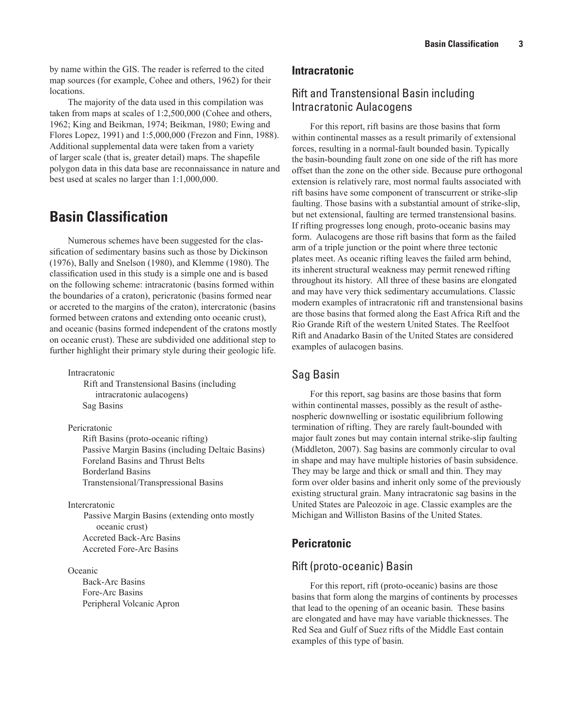# Rift and Transtensional Basin including Intracratonic Aulacogens

For this report, rift basins are those basins that form within continental masses as a result primarily of extensional forces, resulting in a normal-fault bounded basin. Typically the basin-bounding fault zone on one side of the rift has more offset than the zone on the other side. Because pure orthogonal extension is relatively rare, most normal faults associated with rift basins have some component of transcurrent or strike-slip faulting. Those basins with a substantial amount of strike-slip, but net extensional, faulting are termed transtensional basins. If rifting progresses long enough, proto-oceanic basins may form. Aulacogens are those rift basins that form as the failed arm of a triple junction or the point where three tectonic plates meet. As oceanic rifting leaves the failed arm behind, its inherent structural weakness may permit renewed rifting throughout its history. All three of these basins are elongated and may have very thick sedimentary accumulations. Classic modern examples of intracratonic rift and transtensional basins are those basins that formed along the East Africa Rift and the Rio Grande Rift of the western United States. The Reelfoot Rift and Anadarko Basin of the United States are considered examples of aulacogen basins.

# Sag Basin

For this report, sag basins are those basins that form within continental masses, possibly as the result of asthenospheric downwelling or isostatic equilibrium following termination of rifting. They are rarely fault-bounded with major fault zones but may contain internal strike-slip faulting (Middleton, 2007). Sag basins are commonly circular to oval in shape and may have multiple histories of basin subsidence. They may be large and thick or small and thin. They may form over older basins and inherit only some of the previously existing structural grain. Many intracratonic sag basins in the United States are Paleozoic in age. Classic examples are the Michigan and Williston Basins of the United States.

# **Pericratonic**

# Rift (proto-oceanic) Basin

For this report, rift (proto-oceanic) basins are those basins that form along the margins of continents by processes that lead to the opening of an oceanic basin. These basins are elongated and have may have variable thicknesses. The Red Sea and Gulf of Suez rifts of the Middle East contain examples of this type of basin.

by name within the GIS. The reader is referred to the cited map sources (for example, Cohee and others, 1962) for their locations.

The majority of the data used in this compilation was taken from maps at scales of 1:2,500,000 (Cohee and others, 1962; King and Beikman, 1974; Beikman, 1980; Ewing and Flores Lopez, 1991) and 1:5,000,000 (Frezon and Finn, 1988). Additional supplemental data were taken from a variety of larger scale (that is, greater detail) maps. The shapefile polygon data in this data base are reconnaissance in nature and best used at scales no larger than 1:1,000,000.

# **Basin Classification**

Numerous schemes have been suggested for the classification of sedimentary basins such as those by Dickinson (1976), Bally and Snelson (1980), and Klemme (1980). The classification used in this study is a simple one and is based on the following scheme: intracratonic (basins formed within the boundaries of a craton), pericratonic (basins formed near or accreted to the margins of the craton), intercratonic (basins formed between cratons and extending onto oceanic crust), and oceanic (basins formed independent of the cratons mostly on oceanic crust). These are subdivided one additional step to further highlight their primary style during their geologic life.

Intracratonic

Rift and Transtensional Basins (including intracratonic aulacogens) Sag Basins

Pericratonic

Rift Basins (proto-oceanic rifting) Passive Margin Basins (including Deltaic Basins) Foreland Basins and Thrust Belts Borderland Basins Transtensional/Transpressional Basins

Intercratonic

Passive Margin Basins (extending onto mostly oceanic crust) Accreted Back-Arc Basins Accreted Fore-Arc Basins

**Oceanic** 

Back-Arc Basins Fore-Arc Basins Peripheral Volcanic Apron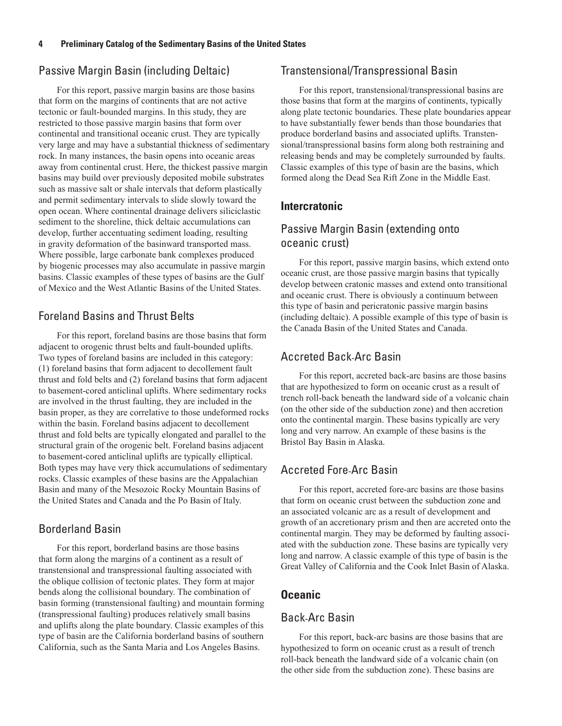# Passive Margin Basin (including Deltaic)

For this report, passive margin basins are those basins that form on the margins of continents that are not active tectonic or fault-bounded margins. In this study, they are restricted to those passive margin basins that form over continental and transitional oceanic crust. They are typically very large and may have a substantial thickness of sedimentary rock. In many instances, the basin opens into oceanic areas away from continental crust. Here, the thickest passive margin basins may build over previously deposited mobile substrates such as massive salt or shale intervals that deform plastically and permit sedimentary intervals to slide slowly toward the open ocean. Where continental drainage delivers siliciclastic sediment to the shoreline, thick deltaic accumulations can develop, further accentuating sediment loading, resulting in gravity deformation of the basinward transported mass. Where possible, large carbonate bank complexes produced by biogenic processes may also accumulate in passive margin basins. Classic examples of these types of basins are the Gulf of Mexico and the West Atlantic Basins of the United States.

# Foreland Basins and Thrust Belts

For this report, foreland basins are those basins that form adjacent to orogenic thrust belts and fault-bounded uplifts. Two types of foreland basins are included in this category: (1) foreland basins that form adjacent to decollement fault thrust and fold belts and (2) foreland basins that form adjacent to basement-cored anticlinal uplifts. Where sedimentary rocks are involved in the thrust faulting, they are included in the basin proper, as they are correlative to those undeformed rocks within the basin. Foreland basins adjacent to decollement thrust and fold belts are typically elongated and parallel to the structural grain of the orogenic belt. Foreland basins adjacent to basement-cored anticlinal uplifts are typically elliptical. Both types may have very thick accumulations of sedimentary rocks. Classic examples of these basins are the Appalachian Basin and many of the Mesozoic Rocky Mountain Basins of the United States and Canada and the Po Basin of Italy.

# Borderland Basin

For this report, borderland basins are those basins that form along the margins of a continent as a result of transtensional and transpressional faulting associated with the oblique collision of tectonic plates. They form at major bends along the collisional boundary. The combination of basin forming (transtensional faulting) and mountain forming (transpressional faulting) produces relatively small basins and uplifts along the plate boundary. Classic examples of this type of basin are the California borderland basins of southern California, such as the Santa Maria and Los Angeles Basins.

# Transtensional/Transpressional Basin

For this report, transtensional/transpressional basins are those basins that form at the margins of continents, typically along plate tectonic boundaries. These plate boundaries appear to have substantially fewer bends than those boundaries that produce borderland basins and associated uplifts. Transtensional/transpressional basins form along both restraining and releasing bends and may be completely surrounded by faults. Classic examples of this type of basin are the basins, which formed along the Dead Sea Rift Zone in the Middle East.

# **Intercratonic**

# Passive Margin Basin (extending onto oceanic crust)

For this report, passive margin basins, which extend onto oceanic crust, are those passive margin basins that typically develop between cratonic masses and extend onto transitional and oceanic crust. There is obviously a continuum between this type of basin and pericratonic passive margin basins (including deltaic). A possible example of this type of basin is the Canada Basin of the United States and Canada.

# Accreted Back-Arc Basin

For this report, accreted back-arc basins are those basins that are hypothesized to form on oceanic crust as a result of trench roll-back beneath the landward side of a volcanic chain (on the other side of the subduction zone) and then accretion onto the continental margin. These basins typically are very long and very narrow. An example of these basins is the Bristol Bay Basin in Alaska.

# Accreted Fore-Arc Basin

For this report, accreted fore-arc basins are those basins that form on oceanic crust between the subduction zone and an associated volcanic arc as a result of development and growth of an accretionary prism and then are accreted onto the continental margin. They may be deformed by faulting associated with the subduction zone. These basins are typically very long and narrow. A classic example of this type of basin is the Great Valley of California and the Cook Inlet Basin of Alaska.

# **Oceanic**

# Back-Arc Basin

For this report, back-arc basins are those basins that are hypothesized to form on oceanic crust as a result of trench roll-back beneath the landward side of a volcanic chain (on the other side from the subduction zone). These basins are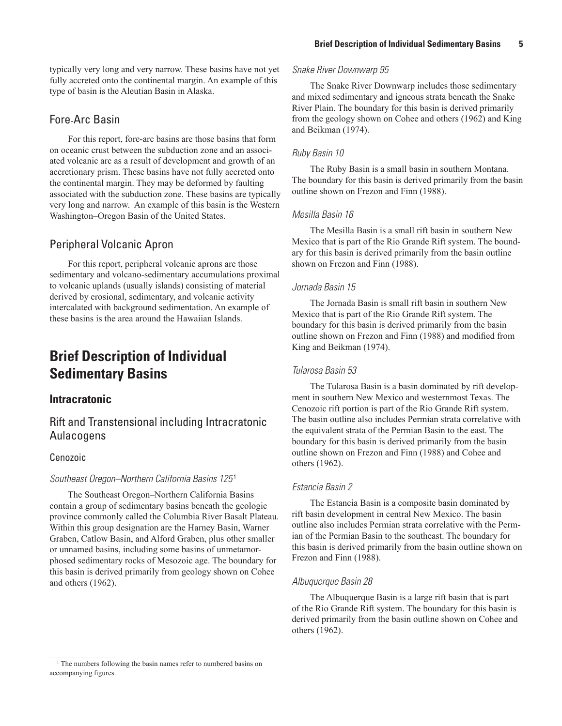typically very long and very narrow. These basins have not yet fully accreted onto the continental margin. An example of this type of basin is the Aleutian Basin in Alaska.

# Fore-Arc Basin

For this report, fore-arc basins are those basins that form on oceanic crust between the subduction zone and an associated volcanic arc as a result of development and growth of an accretionary prism. These basins have not fully accreted onto the continental margin. They may be deformed by faulting associated with the subduction zone. These basins are typically very long and narrow. An example of this basin is the Western Washington–Oregon Basin of the United States.

# Peripheral Volcanic Apron

For this report, peripheral volcanic aprons are those sedimentary and volcano-sedimentary accumulations proximal to volcanic uplands (usually islands) consisting of material derived by erosional, sedimentary, and volcanic activity intercalated with background sedimentation. An example of these basins is the area around the Hawaiian Islands.

# **Brief Description of Individual Sedimentary Basins**

# **Intracratonic**

# Rift and Transtensional including Intracratonic Aulacogens

# Cenozoic

# *Southeast Oregon–Northern California Basins 125* <sup>1</sup>

The Southeast Oregon–Northern California Basins contain a group of sedimentary basins beneath the geologic province commonly called the Columbia River Basalt Plateau. Within this group designation are the Harney Basin, Warner Graben, Catlow Basin, and Alford Graben, plus other smaller or unnamed basins, including some basins of unmetamorphosed sedimentary rocks of Mesozoic age. The boundary for this basin is derived primarily from geology shown on Cohee and others (1962).

#### *Snake River Downwarp 95*

The Snake River Downwarp includes those sedimentary and mixed sedimentary and igneous strata beneath the Snake River Plain. The boundary for this basin is derived primarily from the geology shown on Cohee and others (1962) and King and Beikman (1974).

### *Ruby Basin 10*

The Ruby Basin is a small basin in southern Montana. The boundary for this basin is derived primarily from the basin outline shown on Frezon and Finn (1988).

### *Mesilla Basin 16*

The Mesilla Basin is a small rift basin in southern New Mexico that is part of the Rio Grande Rift system. The boundary for this basin is derived primarily from the basin outline shown on Frezon and Finn (1988).

### *Jornada Basin 15*

The Jornada Basin is small rift basin in southern New Mexico that is part of the Rio Grande Rift system. The boundary for this basin is derived primarily from the basin outline shown on Frezon and Finn (1988) and modified from King and Beikman (1974).

## *Tularosa Basin 53*

The Tularosa Basin is a basin dominated by rift development in southern New Mexico and westernmost Texas. The Cenozoic rift portion is part of the Rio Grande Rift system. The basin outline also includes Permian strata correlative with the equivalent strata of the Permian Basin to the east. The boundary for this basin is derived primarily from the basin outline shown on Frezon and Finn (1988) and Cohee and others (1962).

### *Estancia Basin 2*

The Estancia Basin is a composite basin dominated by rift basin development in central New Mexico. The basin outline also includes Permian strata correlative with the Permian of the Permian Basin to the southeast. The boundary for this basin is derived primarily from the basin outline shown on Frezon and Finn (1988).

### *Albuquerque Basin 28*

The Albuquerque Basin is a large rift basin that is part of the Rio Grande Rift system. The boundary for this basin is derived primarily from the basin outline shown on Cohee and others (1962).

<sup>&</sup>lt;sup>1</sup> The numbers following the basin names refer to numbered basins on accompanying figures.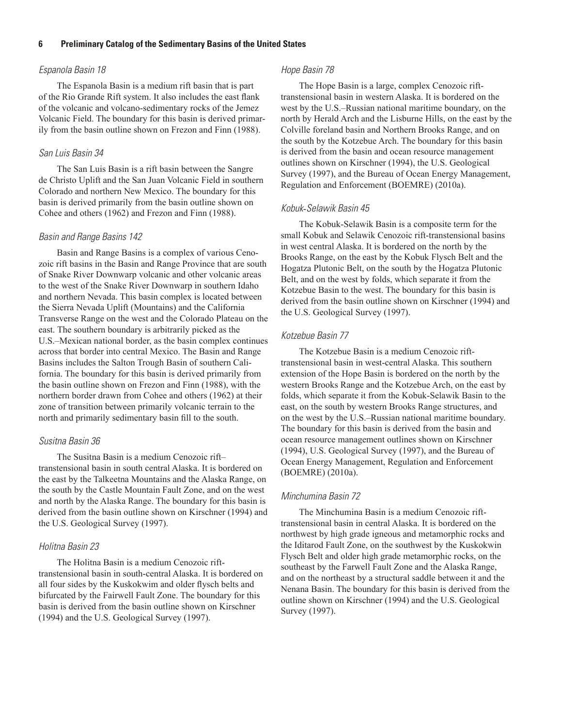#### *Espanola Basin 18*

The Espanola Basin is a medium rift basin that is part of the Rio Grande Rift system. It also includes the east flank of the volcanic and volcano-sedimentary rocks of the Jemez Volcanic Field. The boundary for this basin is derived primarily from the basin outline shown on Frezon and Finn (1988).

#### *San Luis Basin 34*

The San Luis Basin is a rift basin between the Sangre de Christo Uplift and the San Juan Volcanic Field in southern Colorado and northern New Mexico. The boundary for this basin is derived primarily from the basin outline shown on Cohee and others (1962) and Frezon and Finn (1988).

### *Basin and Range Basins 142*

Basin and Range Basins is a complex of various Cenozoic rift basins in the Basin and Range Province that are south of Snake River Downwarp volcanic and other volcanic areas to the west of the Snake River Downwarp in southern Idaho and northern Nevada. This basin complex is located between the Sierra Nevada Uplift (Mountains) and the California Transverse Range on the west and the Colorado Plateau on the east. The southern boundary is arbitrarily picked as the U.S.–Mexican national border, as the basin complex continues across that border into central Mexico. The Basin and Range Basins includes the Salton Trough Basin of southern California. The boundary for this basin is derived primarily from the basin outline shown on Frezon and Finn (1988), with the northern border drawn from Cohee and others (1962) at their zone of transition between primarily volcanic terrain to the north and primarily sedimentary basin fill to the south.

#### *Susitna Basin 36*

The Susitna Basin is a medium Cenozoic rift– transtensional basin in south central Alaska. It is bordered on the east by the Talkeetna Mountains and the Alaska Range, on the south by the Castle Mountain Fault Zone, and on the west and north by the Alaska Range. The boundary for this basin is derived from the basin outline shown on Kirschner (1994) and the U.S. Geological Survey (1997).

#### *Holitna Basin 23*

The Holitna Basin is a medium Cenozoic rifttranstensional basin in south-central Alaska. It is bordered on all four sides by the Kuskokwim and older flysch belts and bifurcated by the Fairwell Fault Zone. The boundary for this basin is derived from the basin outline shown on Kirschner (1994) and the U.S. Geological Survey (1997).

#### *Hope Basin 78*

The Hope Basin is a large, complex Cenozoic rifttranstensional basin in western Alaska. It is bordered on the west by the U.S.–Russian national maritime boundary, on the north by Herald Arch and the Lisburne Hills, on the east by the Colville foreland basin and Northern Brooks Range, and on the south by the Kotzebue Arch. The boundary for this basin is derived from the basin and ocean resource management outlines shown on Kirschner (1994), the U.S. Geological Survey (1997), and the Bureau of Ocean Energy Management, Regulation and Enforcement (BOEMRE) (2010a).

#### *Kobuk*-*Selawik Basin 45*

The Kobuk-Selawik Basin is a composite term for the small Kobuk and Selawik Cenozoic rift-transtensional basins in west central Alaska. It is bordered on the north by the Brooks Range, on the east by the Kobuk Flysch Belt and the Hogatza Plutonic Belt, on the south by the Hogatza Plutonic Belt, and on the west by folds, which separate it from the Kotzebue Basin to the west. The boundary for this basin is derived from the basin outline shown on Kirschner (1994) and the U.S. Geological Survey (1997).

#### *Kotzebue Basin 77*

The Kotzebue Basin is a medium Cenozoic rifttranstensional basin in west-central Alaska. This southern extension of the Hope Basin is bordered on the north by the western Brooks Range and the Kotzebue Arch, on the east by folds, which separate it from the Kobuk-Selawik Basin to the east, on the south by western Brooks Range structures, and on the west by the U.S.–Russian national maritime boundary. The boundary for this basin is derived from the basin and ocean resource management outlines shown on Kirschner (1994), U.S. Geological Survey (1997), and the Bureau of Ocean Energy Management, Regulation and Enforcement (BOEMRE) (2010a).

#### *Minchumina Basin 72*

The Minchumina Basin is a medium Cenozoic rifttranstensional basin in central Alaska. It is bordered on the northwest by high grade igneous and metamorphic rocks and the Iditarod Fault Zone, on the southwest by the Kuskokwin Flysch Belt and older high grade metamorphic rocks, on the southeast by the Farwell Fault Zone and the Alaska Range, and on the northeast by a structural saddle between it and the Nenana Basin. The boundary for this basin is derived from the outline shown on Kirschner (1994) and the U.S. Geological Survey (1997).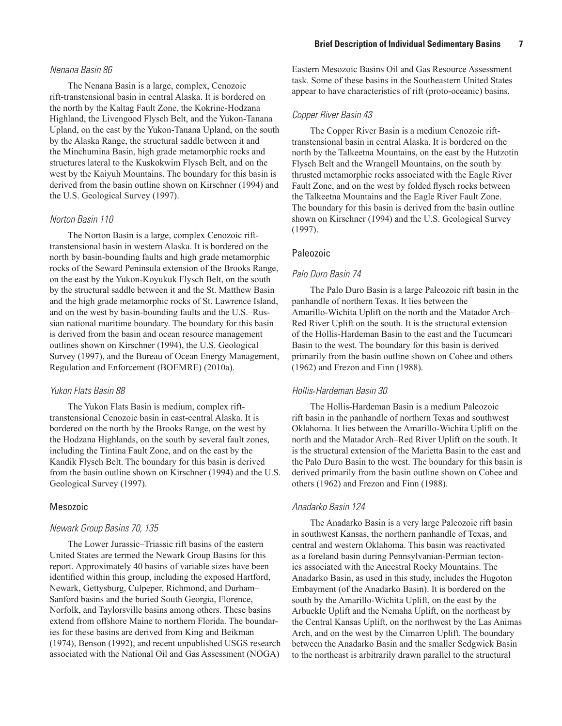#### *Nenana Basin 86*

The Nenana Basin is a large, complex, Cenozoic rift-transtensional basin in central Alaska. It is bordered on the north by the Kaltag Fault Zone, the Kokrine-Hodzana Highland, the Livengood Flysch Belt, and the Yukon-Tanana Upland, on the east by the Yukon-Tanana Upland, on the south by the Alaska Range, the structural saddle between it and the Minchumina Basin, high grade metamorphic rocks and structures lateral to the Kuskokwim Flysch Belt, and on the west by the Kaiyuh Mountains. The boundary for this basin is derived from the basin outline shown on Kirschner (1994) and the U.S. Geological Survey (1997).

## *Norton Basin 110*

The Norton Basin is a large, complex Cenozoic rifttranstensional basin in western Alaska. It is bordered on the north by basin-bounding faults and high grade metamorphic rocks of the Seward Peninsula extension of the Brooks Range, on the east by the Yukon-Koyukuk Flysch Belt, on the south by the structural saddle between it and the St. Matthew Basin and the high grade metamorphic rocks of St. Lawrence Island, and on the west by basin-bounding faults and the U.S.–Russian national maritime boundary. The boundary for this basin is derived from the basin and ocean resource management outlines shown on Kirschner (1994), the U.S. Geological Survey (1997), and the Bureau of Ocean Energy Management, Regulation and Enforcement (BOEMRE) (2010a).

#### *Yukon Flats Basin 88*

The Yukon Flats Basin is medium, complex rifttranstensional Cenozoic basin in east-central Alaska. It is bordered on the north by the Brooks Range, on the west by the Hodzana Highlands, on the south by several fault zones, including the Tintina Fault Zone, and on the east by the Kandik Flysch Belt. The boundary for this basin is derived from the basin outline shown on Kirschner (1994) and the U.S. Geological Survey (1997).

#### Mesozoic

#### *Newark Group Basins 70, 135*

The Lower Jurassic–Triassic rift basins of the eastern United States are termed the Newark Group Basins for this report. Approximately 40 basins of variable sizes have been identified within this group, including the exposed Hartford, Newark, Gettysburg, Culpeper, Richmond, and Durham– Sanford basins and the buried South Georgia, Florence, Norfolk, and Taylorsville basins among others. These basins extend from offshore Maine to northern Florida. The boundaries for these basins are derived from King and Beikman (1974), Benson (1992), and recent unpublished USGS research associated with the National Oil and Gas Assessment (NOGA)

Eastern Mesozoic Basins Oil and Gas Resource Assessment task. Some of these basins in the Southeastern United States appear to have characteristics of rift (proto-oceanic) basins.

#### *Copper River Basin 43*

The Copper River Basin is a medium Cenozoic rifttranstensional basin in central Alaska. It is bordered on the north by the Talkeetna Mountains, on the east by the Hutzotin Flysch Belt and the Wrangell Mountains, on the south by thrusted metamorphic rocks associated with the Eagle River Fault Zone, and on the west by folded flysch rocks between the Talkeetna Mountains and the Eagle River Fault Zone. The boundary for this basin is derived from the basin outline shown on Kirschner (1994) and the U.S. Geological Survey (1997).

#### Paleozoic

#### *Palo Duro Basin 74*

The Palo Duro Basin is a large Paleozoic rift basin in the panhandle of northern Texas. It lies between the Amarillo-Wichita Uplift on the north and the Matador Arch– Red River Uplift on the south. It is the structural extension of the Hollis-Hardeman Basin to the east and the Tucumcari Basin to the west. The boundary for this basin is derived primarily from the basin outline shown on Cohee and others (1962) and Frezon and Finn (1988).

#### *Hollis*-*Hardeman Basin 30*

The Hollis-Hardeman Basin is a medium Paleozoic rift basin in the panhandle of northern Texas and southwest Oklahoma. It lies between the Amarillo-Wichita Uplift on the north and the Matador Arch–Red River Uplift on the south. It is the structural extension of the Marietta Basin to the east and the Palo Duro Basin to the west. The boundary for this basin is derived primarily from the basin outline shown on Cohee and others (1962) and Frezon and Finn (1988).

#### *Anadarko Basin 124*

The Anadarko Basin is a very large Paleozoic rift basin in southwest Kansas, the northern panhandle of Texas, and central and western Oklahoma. This basin was reactivated as a foreland basin during Pennsylvanian-Permian tectonics associated with the Ancestral Rocky Mountains. The Anadarko Basin, as used in this study, includes the Hugoton Embayment (of the Anadarko Basin). It is bordered on the south by the Amarillo-Wichita Uplift, on the east by the Arbuckle Uplift and the Nemaha Uplift, on the northeast by the Central Kansas Uplift, on the northwest by the Las Animas Arch, and on the west by the Cimarron Uplift. The boundary between the Anadarko Basin and the smaller Sedgwick Basin to the northeast is arbitrarily drawn parallel to the structural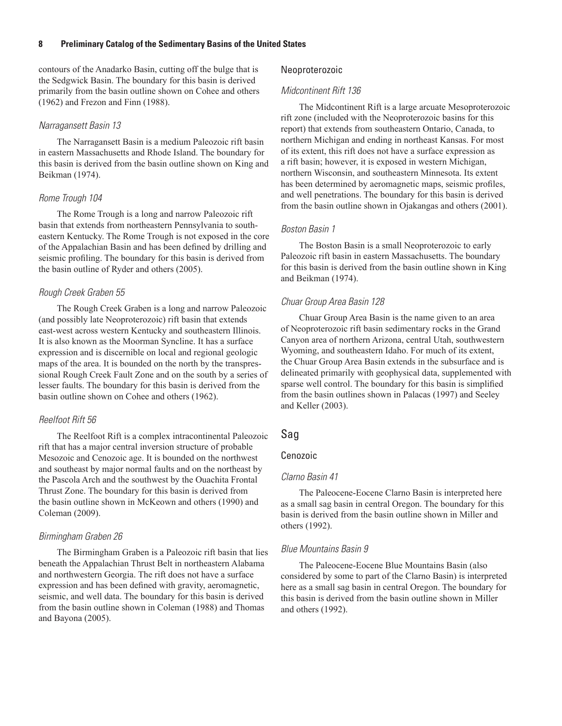contours of the Anadarko Basin, cutting off the bulge that is the Sedgwick Basin. The boundary for this basin is derived primarily from the basin outline shown on Cohee and others (1962) and Frezon and Finn (1988).

#### *Narragansett Basin 13*

The Narragansett Basin is a medium Paleozoic rift basin in eastern Massachusetts and Rhode Island. The boundary for this basin is derived from the basin outline shown on King and Beikman (1974).

#### *Rome Trough 104*

The Rome Trough is a long and narrow Paleozoic rift basin that extends from northeastern Pennsylvania to southeastern Kentucky. The Rome Trough is not exposed in the core of the Appalachian Basin and has been defined by drilling and seismic profiling. The boundary for this basin is derived from the basin outline of Ryder and others (2005).

#### *Rough Creek Graben 55*

The Rough Creek Graben is a long and narrow Paleozoic (and possibly late Neoproterozoic) rift basin that extends east-west across western Kentucky and southeastern Illinois. It is also known as the Moorman Syncline. It has a surface expression and is discernible on local and regional geologic maps of the area. It is bounded on the north by the transpressional Rough Creek Fault Zone and on the south by a series of lesser faults. The boundary for this basin is derived from the basin outline shown on Cohee and others (1962).

#### *Reelfoot Rift 56*

The Reelfoot Rift is a complex intracontinental Paleozoic rift that has a major central inversion structure of probable Mesozoic and Cenozoic age. It is bounded on the northwest and southeast by major normal faults and on the northeast by the Pascola Arch and the southwest by the Ouachita Frontal Thrust Zone. The boundary for this basin is derived from the basin outline shown in McKeown and others (1990) and Coleman (2009).

#### *Birmingham Graben 26*

The Birmingham Graben is a Paleozoic rift basin that lies beneath the Appalachian Thrust Belt in northeastern Alabama and northwestern Georgia. The rift does not have a surface expression and has been defined with gravity, aeromagnetic, seismic, and well data. The boundary for this basin is derived from the basin outline shown in Coleman (1988) and Thomas and Bayona (2005).

### Neoproterozoic

#### *Midcontinent Rift 136*

The Midcontinent Rift is a large arcuate Mesoproterozoic rift zone (included with the Neoproterozoic basins for this report) that extends from southeastern Ontario, Canada, to northern Michigan and ending in northeast Kansas. For most of its extent, this rift does not have a surface expression as a rift basin; however, it is exposed in western Michigan, northern Wisconsin, and southeastern Minnesota. Its extent has been determined by aeromagnetic maps, seismic profiles, and well penetrations. The boundary for this basin is derived from the basin outline shown in Ojakangas and others (2001).

#### *Boston Basin 1*

The Boston Basin is a small Neoproterozoic to early Paleozoic rift basin in eastern Massachusetts. The boundary for this basin is derived from the basin outline shown in King and Beikman (1974).

#### *Chuar Group Area Basin 128*

Chuar Group Area Basin is the name given to an area of Neoproterozoic rift basin sedimentary rocks in the Grand Canyon area of northern Arizona, central Utah, southwestern Wyoming, and southeastern Idaho. For much of its extent, the Chuar Group Area Basin extends in the subsurface and is delineated primarily with geophysical data, supplemented with sparse well control. The boundary for this basin is simplified from the basin outlines shown in Palacas (1997) and Seeley and Keller (2003).

#### Sag

#### Cenozoic

#### *Clarno Basin 41*

The Paleocene-Eocene Clarno Basin is interpreted here as a small sag basin in central Oregon. The boundary for this basin is derived from the basin outline shown in Miller and others (1992).

#### *Blue Mountains Basin 9*

The Paleocene-Eocene Blue Mountains Basin (also considered by some to part of the Clarno Basin) is interpreted here as a small sag basin in central Oregon. The boundary for this basin is derived from the basin outline shown in Miller and others (1992).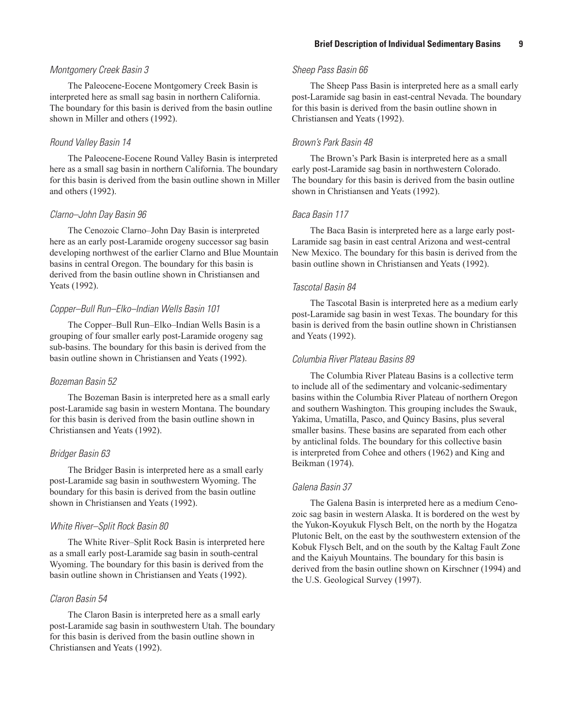#### *Montgomery Creek Basin 3*

The Paleocene-Eocene Montgomery Creek Basin is interpreted here as small sag basin in northern California. The boundary for this basin is derived from the basin outline shown in Miller and others (1992).

#### *Round Valley Basin 14*

The Paleocene-Eocene Round Valley Basin is interpreted here as a small sag basin in northern California. The boundary for this basin is derived from the basin outline shown in Miller and others (1992).

#### *Clarno–John Day Basin 96*

The Cenozoic Clarno–John Day Basin is interpreted here as an early post-Laramide orogeny successor sag basin developing northwest of the earlier Clarno and Blue Mountain basins in central Oregon. The boundary for this basin is derived from the basin outline shown in Christiansen and Yeats (1992).

#### *Copper–Bull Run–Elko–Indian Wells Basin 101*

The Copper–Bull Run–Elko–Indian Wells Basin is a grouping of four smaller early post-Laramide orogeny sag sub-basins. The boundary for this basin is derived from the basin outline shown in Christiansen and Yeats (1992).

#### *Bozeman Basin 52*

The Bozeman Basin is interpreted here as a small early post-Laramide sag basin in western Montana. The boundary for this basin is derived from the basin outline shown in Christiansen and Yeats (1992).

### *Bridger Basin 63*

The Bridger Basin is interpreted here as a small early post-Laramide sag basin in southwestern Wyoming. The boundary for this basin is derived from the basin outline shown in Christiansen and Yeats (1992).

### *White River–Split Rock Basin 80*

The White River–Split Rock Basin is interpreted here as a small early post-Laramide sag basin in south-central Wyoming. The boundary for this basin is derived from the basin outline shown in Christiansen and Yeats (1992).

#### *Claron Basin 54*

The Claron Basin is interpreted here as a small early post-Laramide sag basin in southwestern Utah. The boundary for this basin is derived from the basin outline shown in Christiansen and Yeats (1992).

### *Sheep Pass Basin 66*

The Sheep Pass Basin is interpreted here as a small early post-Laramide sag basin in east-central Nevada. The boundary for this basin is derived from the basin outline shown in Christiansen and Yeats (1992).

### *Brown's Park Basin 48*

The Brown's Park Basin is interpreted here as a small early post-Laramide sag basin in northwestern Colorado. The boundary for this basin is derived from the basin outline shown in Christiansen and Yeats (1992).

#### *Baca Basin 117*

The Baca Basin is interpreted here as a large early post-Laramide sag basin in east central Arizona and west-central New Mexico. The boundary for this basin is derived from the basin outline shown in Christiansen and Yeats (1992).

#### *Tascotal Basin 84*

The Tascotal Basin is interpreted here as a medium early post-Laramide sag basin in west Texas. The boundary for this basin is derived from the basin outline shown in Christiansen and Yeats (1992).

### *Columbia River Plateau Basins 89*

The Columbia River Plateau Basins is a collective term to include all of the sedimentary and volcanic-sedimentary basins within the Columbia River Plateau of northern Oregon and southern Washington. This grouping includes the Swauk, Yakima, Umatilla, Pasco, and Quincy Basins, plus several smaller basins. These basins are separated from each other by anticlinal folds. The boundary for this collective basin is interpreted from Cohee and others (1962) and King and Beikman (1974).

#### *Galena Basin 37*

The Galena Basin is interpreted here as a medium Cenozoic sag basin in western Alaska. It is bordered on the west by the Yukon-Koyukuk Flysch Belt, on the north by the Hogatza Plutonic Belt, on the east by the southwestern extension of the Kobuk Flysch Belt, and on the south by the Kaltag Fault Zone and the Kaiyuh Mountains. The boundary for this basin is derived from the basin outline shown on Kirschner (1994) and the U.S. Geological Survey (1997).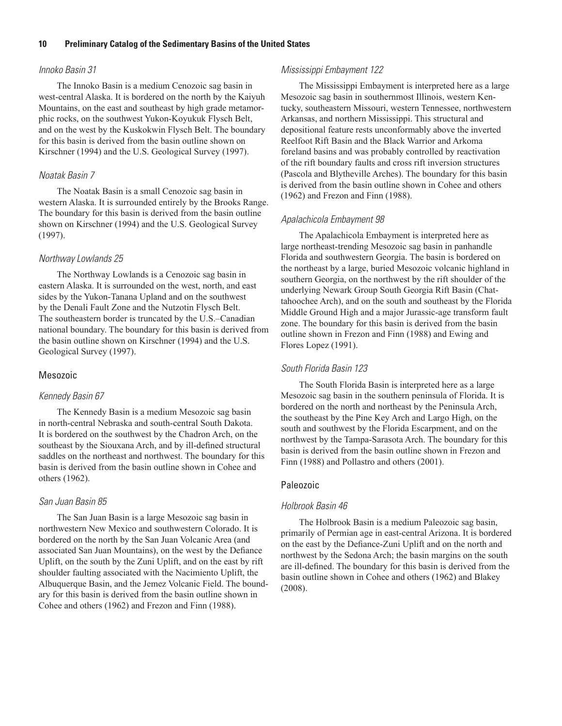### *Innoko Basin 31*

The Innoko Basin is a medium Cenozoic sag basin in west-central Alaska. It is bordered on the north by the Kaiyuh Mountains, on the east and southeast by high grade metamorphic rocks, on the southwest Yukon-Koyukuk Flysch Belt, and on the west by the Kuskokwin Flysch Belt. The boundary for this basin is derived from the basin outline shown on Kirschner (1994) and the U.S. Geological Survey (1997).

### *Noatak Basin 7*

The Noatak Basin is a small Cenozoic sag basin in western Alaska. It is surrounded entirely by the Brooks Range. The boundary for this basin is derived from the basin outline shown on Kirschner (1994) and the U.S. Geological Survey (1997).

### *Northway Lowlands 25*

The Northway Lowlands is a Cenozoic sag basin in eastern Alaska. It is surrounded on the west, north, and east sides by the Yukon-Tanana Upland and on the southwest by the Denali Fault Zone and the Nutzotin Flysch Belt. The southeastern border is truncated by the U.S.–Canadian national boundary. The boundary for this basin is derived from the basin outline shown on Kirschner (1994) and the U.S. Geological Survey (1997).

## Mesozoic

### *Kennedy Basin 67*

The Kennedy Basin is a medium Mesozoic sag basin in north-central Nebraska and south-central South Dakota. It is bordered on the southwest by the Chadron Arch, on the southeast by the Siouxana Arch, and by ill-defined structural saddles on the northeast and northwest. The boundary for this basin is derived from the basin outline shown in Cohee and others (1962).

## *San Juan Basin 85*

The San Juan Basin is a large Mesozoic sag basin in northwestern New Mexico and southwestern Colorado. It is bordered on the north by the San Juan Volcanic Area (and associated San Juan Mountains), on the west by the Defiance Uplift, on the south by the Zuni Uplift, and on the east by rift shoulder faulting associated with the Nacimiento Uplift, the Albuquerque Basin, and the Jemez Volcanic Field. The boundary for this basin is derived from the basin outline shown in Cohee and others (1962) and Frezon and Finn (1988).

# *Mississippi Embayment 122*

The Mississippi Embayment is interpreted here as a large Mesozoic sag basin in southernmost Illinois, western Kentucky, southeastern Missouri, western Tennessee, northwestern Arkansas, and northern Mississippi. This structural and depositional feature rests unconformably above the inverted Reelfoot Rift Basin and the Black Warrior and Arkoma foreland basins and was probably controlled by reactivation of the rift boundary faults and cross rift inversion structures (Pascola and Blytheville Arches). The boundary for this basin is derived from the basin outline shown in Cohee and others (1962) and Frezon and Finn (1988).

## *Apalachicola Embayment 98*

The Apalachicola Embayment is interpreted here as large northeast-trending Mesozoic sag basin in panhandle Florida and southwestern Georgia. The basin is bordered on the northeast by a large, buried Mesozoic volcanic highland in southern Georgia, on the northwest by the rift shoulder of the underlying Newark Group South Georgia Rift Basin (Chattahoochee Arch), and on the south and southeast by the Florida Middle Ground High and a major Jurassic-age transform fault zone. The boundary for this basin is derived from the basin outline shown in Frezon and Finn (1988) and Ewing and Flores Lopez (1991).

# *South Florida Basin 123*

The South Florida Basin is interpreted here as a large Mesozoic sag basin in the southern peninsula of Florida. It is bordered on the north and northeast by the Peninsula Arch, the southeast by the Pine Key Arch and Largo High, on the south and southwest by the Florida Escarpment, and on the northwest by the Tampa-Sarasota Arch. The boundary for this basin is derived from the basin outline shown in Frezon and Finn (1988) and Pollastro and others (2001).

### Paleozoic

### *Holbrook Basin 46*

The Holbrook Basin is a medium Paleozoic sag basin, primarily of Permian age in east-central Arizona. It is bordered on the east by the Defiance-Zuni Uplift and on the north and northwest by the Sedona Arch; the basin margins on the south are ill-defined. The boundary for this basin is derived from the basin outline shown in Cohee and others (1962) and Blakey (2008).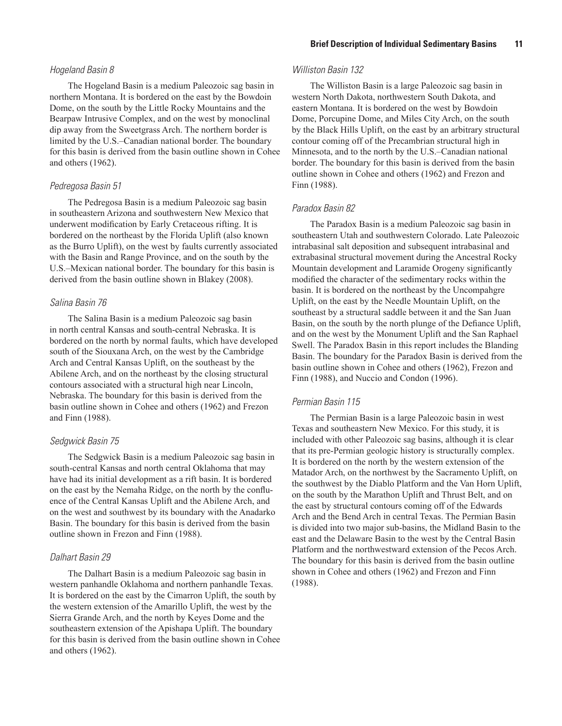#### *Hogeland Basin 8*

The Hogeland Basin is a medium Paleozoic sag basin in northern Montana. It is bordered on the east by the Bowdoin Dome, on the south by the Little Rocky Mountains and the Bearpaw Intrusive Complex, and on the west by monoclinal dip away from the Sweetgrass Arch. The northern border is limited by the U.S.–Canadian national border. The boundary for this basin is derived from the basin outline shown in Cohee and others (1962).

#### *Pedregosa Basin 51*

The Pedregosa Basin is a medium Paleozoic sag basin in southeastern Arizona and southwestern New Mexico that underwent modification by Early Cretaceous rifting. It is bordered on the northeast by the Florida Uplift (also known as the Burro Uplift), on the west by faults currently associated with the Basin and Range Province, and on the south by the U.S.–Mexican national border. The boundary for this basin is derived from the basin outline shown in Blakey (2008).

#### *Salina Basin 76*

The Salina Basin is a medium Paleozoic sag basin in north central Kansas and south-central Nebraska. It is bordered on the north by normal faults, which have developed south of the Siouxana Arch, on the west by the Cambridge Arch and Central Kansas Uplift, on the southeast by the Abilene Arch, and on the northeast by the closing structural contours associated with a structural high near Lincoln, Nebraska. The boundary for this basin is derived from the basin outline shown in Cohee and others (1962) and Frezon and Finn (1988).

#### *Sedgwick Basin 75*

The Sedgwick Basin is a medium Paleozoic sag basin in south-central Kansas and north central Oklahoma that may have had its initial development as a rift basin. It is bordered on the east by the Nemaha Ridge, on the north by the confluence of the Central Kansas Uplift and the Abilene Arch, and on the west and southwest by its boundary with the Anadarko Basin. The boundary for this basin is derived from the basin outline shown in Frezon and Finn (1988).

#### *Dalhart Basin 29*

The Dalhart Basin is a medium Paleozoic sag basin in western panhandle Oklahoma and northern panhandle Texas. It is bordered on the east by the Cimarron Uplift, the south by the western extension of the Amarillo Uplift, the west by the Sierra Grande Arch, and the north by Keyes Dome and the southeastern extension of the Apishapa Uplift. The boundary for this basin is derived from the basin outline shown in Cohee and others (1962).

#### *Williston Basin 132*

The Williston Basin is a large Paleozoic sag basin in western North Dakota, northwestern South Dakota, and eastern Montana. It is bordered on the west by Bowdoin Dome, Porcupine Dome, and Miles City Arch, on the south by the Black Hills Uplift, on the east by an arbitrary structural contour coming off of the Precambrian structural high in Minnesota, and to the north by the U.S.–Canadian national border. The boundary for this basin is derived from the basin outline shown in Cohee and others (1962) and Frezon and Finn (1988).

### *Paradox Basin 82*

The Paradox Basin is a medium Paleozoic sag basin in southeastern Utah and southwestern Colorado. Late Paleozoic intrabasinal salt deposition and subsequent intrabasinal and extrabasinal structural movement during the Ancestral Rocky Mountain development and Laramide Orogeny significantly modified the character of the sedimentary rocks within the basin. It is bordered on the northeast by the Uncompahgre Uplift, on the east by the Needle Mountain Uplift, on the southeast by a structural saddle between it and the San Juan Basin, on the south by the north plunge of the Defiance Uplift, and on the west by the Monument Uplift and the San Raphael Swell. The Paradox Basin in this report includes the Blanding Basin. The boundary for the Paradox Basin is derived from the basin outline shown in Cohee and others (1962), Frezon and Finn (1988), and Nuccio and Condon (1996).

#### *Permian Basin 115*

The Permian Basin is a large Paleozoic basin in west Texas and southeastern New Mexico. For this study, it is included with other Paleozoic sag basins, although it is clear that its pre-Permian geologic history is structurally complex. It is bordered on the north by the western extension of the Matador Arch, on the northwest by the Sacramento Uplift, on the southwest by the Diablo Platform and the Van Horn Uplift, on the south by the Marathon Uplift and Thrust Belt, and on the east by structural contours coming off of the Edwards Arch and the Bend Arch in central Texas. The Permian Basin is divided into two major sub-basins, the Midland Basin to the east and the Delaware Basin to the west by the Central Basin Platform and the northwestward extension of the Pecos Arch. The boundary for this basin is derived from the basin outline shown in Cohee and others (1962) and Frezon and Finn (1988).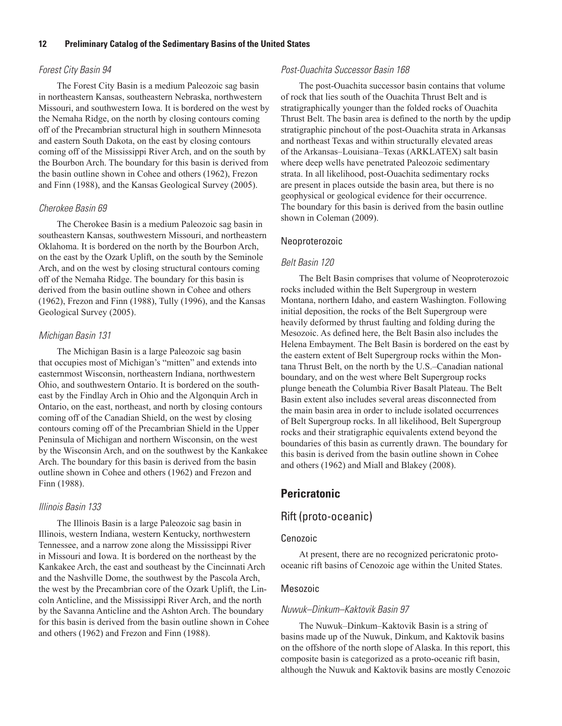#### *Forest City Basin 94*

The Forest City Basin is a medium Paleozoic sag basin in northeastern Kansas, southeastern Nebraska, northwestern Missouri, and southwestern Iowa. It is bordered on the west by the Nemaha Ridge, on the north by closing contours coming off of the Precambrian structural high in southern Minnesota and eastern South Dakota, on the east by closing contours coming off of the Mississippi River Arch, and on the south by the Bourbon Arch. The boundary for this basin is derived from the basin outline shown in Cohee and others (1962), Frezon and Finn (1988), and the Kansas Geological Survey (2005).

#### *Cherokee Basin 69*

The Cherokee Basin is a medium Paleozoic sag basin in southeastern Kansas, southwestern Missouri, and northeastern Oklahoma. It is bordered on the north by the Bourbon Arch, on the east by the Ozark Uplift, on the south by the Seminole Arch, and on the west by closing structural contours coming off of the Nemaha Ridge. The boundary for this basin is derived from the basin outline shown in Cohee and others (1962), Frezon and Finn (1988), Tully (1996), and the Kansas Geological Survey (2005).

#### *Michigan Basin 131*

The Michigan Basin is a large Paleozoic sag basin that occupies most of Michigan's "mitten" and extends into easternmost Wisconsin, northeastern Indiana, northwestern Ohio, and southwestern Ontario. It is bordered on the southeast by the Findlay Arch in Ohio and the Algonquin Arch in Ontario, on the east, northeast, and north by closing contours coming off of the Canadian Shield, on the west by closing contours coming off of the Precambrian Shield in the Upper Peninsula of Michigan and northern Wisconsin, on the west by the Wisconsin Arch, and on the southwest by the Kankakee Arch. The boundary for this basin is derived from the basin outline shown in Cohee and others (1962) and Frezon and Finn (1988).

#### *Illinois Basin 133*

The Illinois Basin is a large Paleozoic sag basin in Illinois, western Indiana, western Kentucky, northwestern Tennessee, and a narrow zone along the Mississippi River in Missouri and Iowa. It is bordered on the northeast by the Kankakee Arch, the east and southeast by the Cincinnati Arch and the Nashville Dome, the southwest by the Pascola Arch, the west by the Precambrian core of the Ozark Uplift, the Lincoln Anticline, and the Mississippi River Arch, and the north by the Savanna Anticline and the Ashton Arch. The boundary for this basin is derived from the basin outline shown in Cohee and others (1962) and Frezon and Finn (1988).

#### *Post-Ouachita Successor Basin 168*

The post-Ouachita successor basin contains that volume of rock that lies south of the Ouachita Thrust Belt and is stratigraphically younger than the folded rocks of Ouachita Thrust Belt. The basin area is defined to the north by the updip stratigraphic pinchout of the post-Ouachita strata in Arkansas and northeast Texas and within structurally elevated areas of the Arkansas–Louisiana–Texas (ARKLATEX) salt basin where deep wells have penetrated Paleozoic sedimentary strata. In all likelihood, post-Ouachita sedimentary rocks are present in places outside the basin area, but there is no geophysical or geological evidence for their occurrence. The boundary for this basin is derived from the basin outline shown in Coleman (2009).

#### Neoproterozoic

#### *Belt Basin 120*

The Belt Basin comprises that volume of Neoproterozoic rocks included within the Belt Supergroup in western Montana, northern Idaho, and eastern Washington. Following initial deposition, the rocks of the Belt Supergroup were heavily deformed by thrust faulting and folding during the Mesozoic. As defined here, the Belt Basin also includes the Helena Embayment. The Belt Basin is bordered on the east by the eastern extent of Belt Supergroup rocks within the Montana Thrust Belt, on the north by the U.S.–Canadian national boundary, and on the west where Belt Supergroup rocks plunge beneath the Columbia River Basalt Plateau. The Belt Basin extent also includes several areas disconnected from the main basin area in order to include isolated occurrences of Belt Supergroup rocks. In all likelihood, Belt Supergroup rocks and their stratigraphic equivalents extend beyond the boundaries of this basin as currently drawn. The boundary for this basin is derived from the basin outline shown in Cohee and others (1962) and Miall and Blakey (2008).

# **Pericratonic**

# Rift (proto-oceanic)

#### Cenozoic

At present, there are no recognized pericratonic protooceanic rift basins of Cenozoic age within the United States.

#### Mesozoic

#### *Nuwuk–Dinkum–Kaktovik Basin 97*

The Nuwuk–Dinkum–Kaktovik Basin is a string of basins made up of the Nuwuk, Dinkum, and Kaktovik basins on the offshore of the north slope of Alaska. In this report, this composite basin is categorized as a proto-oceanic rift basin, although the Nuwuk and Kaktovik basins are mostly Cenozoic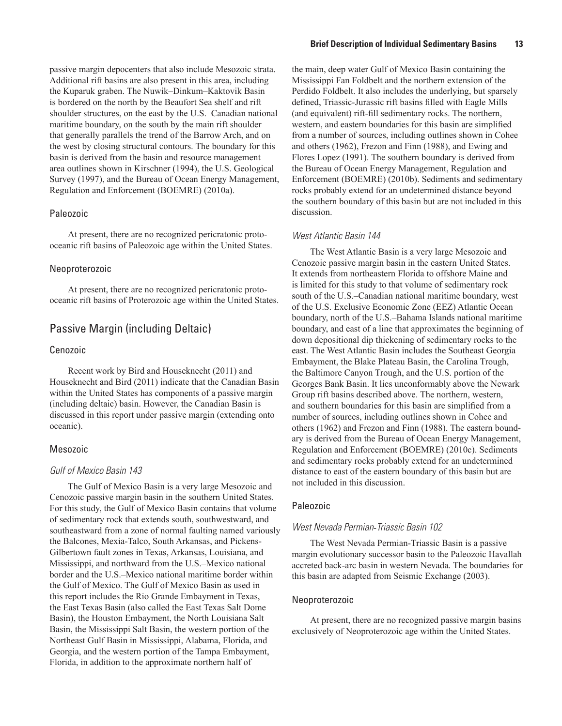passive margin depocenters that also include Mesozoic strata. Additional rift basins are also present in this area, including the Kuparuk graben. The Nuwik–Dinkum–Kaktovik Basin is bordered on the north by the Beaufort Sea shelf and rift shoulder structures, on the east by the U.S.–Canadian national maritime boundary, on the south by the main rift shoulder that generally parallels the trend of the Barrow Arch, and on the west by closing structural contours. The boundary for this basin is derived from the basin and resource management area outlines shown in Kirschner (1994), the U.S. Geological Survey (1997), and the Bureau of Ocean Energy Management, Regulation and Enforcement (BOEMRE) (2010a).

### Paleozoic

At present, there are no recognized pericratonic protooceanic rift basins of Paleozoic age within the United States.

#### Neoproterozoic

At present, there are no recognized pericratonic protooceanic rift basins of Proterozoic age within the United States.

# Passive Margin (including Deltaic)

#### Cenozoic

Recent work by Bird and Houseknecht (2011) and Houseknecht and Bird (2011) indicate that the Canadian Basin within the United States has components of a passive margin (including deltaic) basin. However, the Canadian Basin is discussed in this report under passive margin (extending onto oceanic).

#### Mesozoic

### *Gulf of Mexico Basin 143*

The Gulf of Mexico Basin is a very large Mesozoic and Cenozoic passive margin basin in the southern United States. For this study, the Gulf of Mexico Basin contains that volume of sedimentary rock that extends south, southwestward, and southeastward from a zone of normal faulting named variously the Balcones, Mexia-Talco, South Arkansas, and Pickens-Gilbertown fault zones in Texas, Arkansas, Louisiana, and Mississippi, and northward from the U.S.–Mexico national border and the U.S.–Mexico national maritime border within the Gulf of Mexico. The Gulf of Mexico Basin as used in this report includes the Rio Grande Embayment in Texas, the East Texas Basin (also called the East Texas Salt Dome Basin), the Houston Embayment, the North Louisiana Salt Basin, the Mississippi Salt Basin, the western portion of the Northeast Gulf Basin in Mississippi, Alabama, Florida, and Georgia, and the western portion of the Tampa Embayment, Florida, in addition to the approximate northern half of

the main, deep water Gulf of Mexico Basin containing the Mississippi Fan Foldbelt and the northern extension of the Perdido Foldbelt. It also includes the underlying, but sparsely defined, Triassic-Jurassic rift basins filled with Eagle Mills (and equivalent) rift-fill sedimentary rocks. The northern, western, and eastern boundaries for this basin are simplified from a number of sources, including outlines shown in Cohee and others (1962), Frezon and Finn (1988), and Ewing and Flores Lopez (1991). The southern boundary is derived from the Bureau of Ocean Energy Management, Regulation and Enforcement (BOEMRE) (2010b). Sediments and sedimentary rocks probably extend for an undetermined distance beyond the southern boundary of this basin but are not included in this discussion.

#### *West Atlantic Basin 144*

The West Atlantic Basin is a very large Mesozoic and Cenozoic passive margin basin in the eastern United States. It extends from northeastern Florida to offshore Maine and is limited for this study to that volume of sedimentary rock south of the U.S.–Canadian national maritime boundary, west of the U.S. Exclusive Economic Zone (EEZ) Atlantic Ocean boundary, north of the U.S.–Bahama Islands national maritime boundary, and east of a line that approximates the beginning of down depositional dip thickening of sedimentary rocks to the east. The West Atlantic Basin includes the Southeast Georgia Embayment, the Blake Plateau Basin, the Carolina Trough, the Baltimore Canyon Trough, and the U.S. portion of the Georges Bank Basin. It lies unconformably above the Newark Group rift basins described above. The northern, western, and southern boundaries for this basin are simplified from a number of sources, including outlines shown in Cohee and others (1962) and Frezon and Finn (1988). The eastern boundary is derived from the Bureau of Ocean Energy Management, Regulation and Enforcement (BOEMRE) (2010c). Sediments and sedimentary rocks probably extend for an undetermined distance to east of the eastern boundary of this basin but are not included in this discussion.

#### Paleozoic

#### *West Nevada Permian*-*Triassic Basin 102*

The West Nevada Permian-Triassic Basin is a passive margin evolutionary successor basin to the Paleozoic Havallah accreted back-arc basin in western Nevada. The boundaries for this basin are adapted from Seismic Exchange (2003).

#### Neoproterozoic

At present, there are no recognized passive margin basins exclusively of Neoproterozoic age within the United States.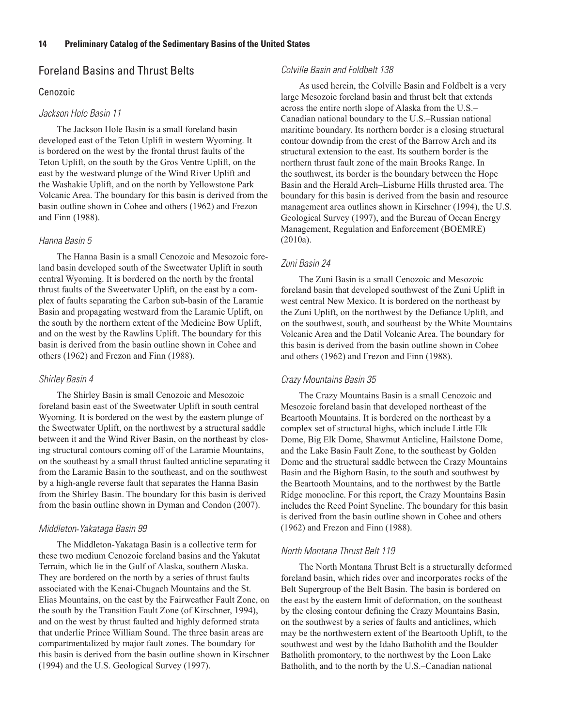# Foreland Basins and Thrust Belts

#### Cenozoic

#### *Jackson Hole Basin 11*

The Jackson Hole Basin is a small foreland basin developed east of the Teton Uplift in western Wyoming. It is bordered on the west by the frontal thrust faults of the Teton Uplift, on the south by the Gros Ventre Uplift, on the east by the westward plunge of the Wind River Uplift and the Washakie Uplift, and on the north by Yellowstone Park Volcanic Area. The boundary for this basin is derived from the basin outline shown in Cohee and others (1962) and Frezon and Finn (1988).

#### *Hanna Basin 5*

The Hanna Basin is a small Cenozoic and Mesozoic foreland basin developed south of the Sweetwater Uplift in south central Wyoming. It is bordered on the north by the frontal thrust faults of the Sweetwater Uplift, on the east by a complex of faults separating the Carbon sub-basin of the Laramie Basin and propagating westward from the Laramie Uplift, on the south by the northern extent of the Medicine Bow Uplift, and on the west by the Rawlins Uplift. The boundary for this basin is derived from the basin outline shown in Cohee and others (1962) and Frezon and Finn (1988).

#### *Shirley Basin 4*

The Shirley Basin is small Cenozoic and Mesozoic foreland basin east of the Sweetwater Uplift in south central Wyoming. It is bordered on the west by the eastern plunge of the Sweetwater Uplift, on the northwest by a structural saddle between it and the Wind River Basin, on the northeast by closing structural contours coming off of the Laramie Mountains, on the southeast by a small thrust faulted anticline separating it from the Laramie Basin to the southeast, and on the southwest by a high-angle reverse fault that separates the Hanna Basin from the Shirley Basin. The boundary for this basin is derived from the basin outline shown in Dyman and Condon (2007).

#### *Middleton*-*Yakataga Basin 99*

The Middleton-Yakataga Basin is a collective term for these two medium Cenozoic foreland basins and the Yakutat Terrain, which lie in the Gulf of Alaska, southern Alaska. They are bordered on the north by a series of thrust faults associated with the Kenai-Chugach Mountains and the St. Elias Mountains, on the east by the Fairweather Fault Zone, on the south by the Transition Fault Zone (of Kirschner, 1994), and on the west by thrust faulted and highly deformed strata that underlie Prince William Sound. The three basin areas are compartmentalized by major fault zones. The boundary for this basin is derived from the basin outline shown in Kirschner (1994) and the U.S. Geological Survey (1997).

#### *Colville Basin and Foldbelt 138*

As used herein, the Colville Basin and Foldbelt is a very large Mesozoic foreland basin and thrust belt that extends across the entire north slope of Alaska from the U.S.– Canadian national boundary to the U.S.–Russian national maritime boundary. Its northern border is a closing structural contour downdip from the crest of the Barrow Arch and its structural extension to the east. Its southern border is the northern thrust fault zone of the main Brooks Range. In the southwest, its border is the boundary between the Hope Basin and the Herald Arch–Lisburne Hills thrusted area. The boundary for this basin is derived from the basin and resource management area outlines shown in Kirschner (1994), the U.S. Geological Survey (1997), and the Bureau of Ocean Energy Management, Regulation and Enforcement (BOEMRE) (2010a).

#### *Zuni Basin 24*

The Zuni Basin is a small Cenozoic and Mesozoic foreland basin that developed southwest of the Zuni Uplift in west central New Mexico. It is bordered on the northeast by the Zuni Uplift, on the northwest by the Defiance Uplift, and on the southwest, south, and southeast by the White Mountains Volcanic Area and the Datil Volcanic Area. The boundary for this basin is derived from the basin outline shown in Cohee and others (1962) and Frezon and Finn (1988).

#### *Crazy Mountains Basin 35*

The Crazy Mountains Basin is a small Cenozoic and Mesozoic foreland basin that developed northeast of the Beartooth Mountains. It is bordered on the northeast by a complex set of structural highs, which include Little Elk Dome, Big Elk Dome, Shawmut Anticline, Hailstone Dome, and the Lake Basin Fault Zone, to the southeast by Golden Dome and the structural saddle between the Crazy Mountains Basin and the Bighorn Basin, to the south and southwest by the Beartooth Mountains, and to the northwest by the Battle Ridge monocline. For this report, the Crazy Mountains Basin includes the Reed Point Syncline. The boundary for this basin is derived from the basin outline shown in Cohee and others (1962) and Frezon and Finn (1988).

#### *North Montana Thrust Belt 119*

The North Montana Thrust Belt is a structurally deformed foreland basin, which rides over and incorporates rocks of the Belt Supergroup of the Belt Basin. The basin is bordered on the east by the eastern limit of deformation, on the southeast by the closing contour defining the Crazy Mountains Basin, on the southwest by a series of faults and anticlines, which may be the northwestern extent of the Beartooth Uplift, to the southwest and west by the Idaho Batholith and the Boulder Batholith promontory, to the northwest by the Loon Lake Batholith, and to the north by the U.S.–Canadian national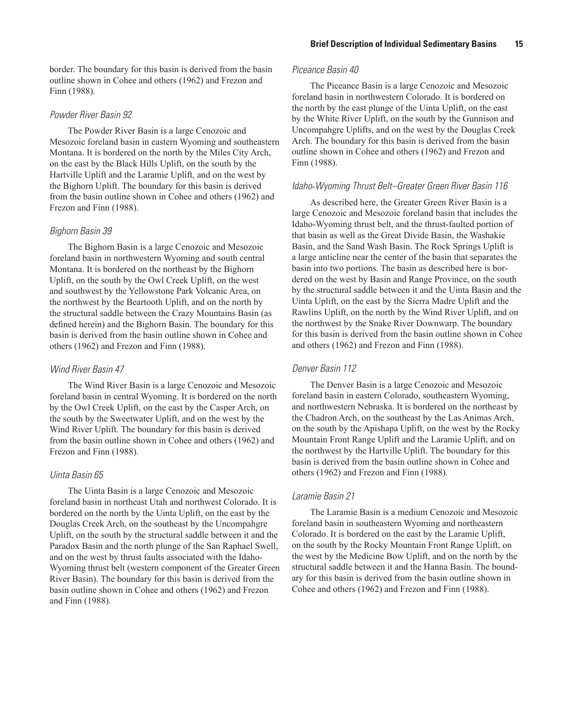#### *Powder River Basin 92*

The Powder River Basin is a large Cenozoic and Mesozoic foreland basin in eastern Wyoming and southeastern Montana. It is bordered on the north by the Miles City Arch, on the east by the Black Hills Uplift, on the south by the Hartville Uplift and the Laramie Uplift, and on the west by the Bighorn Uplift. The boundary for this basin is derived from the basin outline shown in Cohee and others (1962) and Frezon and Finn (1988).

### *Bighorn Basin 39*

The Bighorn Basin is a large Cenozoic and Mesozoic foreland basin in northwestern Wyoming and south central Montana. It is bordered on the northeast by the Bighorn Uplift, on the south by the Owl Creek Uplift, on the west and southwest by the Yellowstone Park Volcanic Area, on the northwest by the Beartooth Uplift, and on the north by the structural saddle between the Crazy Mountains Basin (as defined herein) and the Bighorn Basin. The boundary for this basin is derived from the basin outline shown in Cohee and others (1962) and Frezon and Finn (1988).

### *Wind River Basin 47*

The Wind River Basin is a large Cenozoic and Mesozoic foreland basin in central Wyoming. It is bordered on the north by the Owl Creek Uplift, on the east by the Casper Arch, on the south by the Sweetwater Uplift, and on the west by the Wind River Uplift. The boundary for this basin is derived from the basin outline shown in Cohee and others (1962) and Frezon and Finn (1988).

#### *Uinta Basin 65*

The Uinta Basin is a large Cenozoic and Mesozoic foreland basin in northeast Utah and northwest Colorado. It is bordered on the north by the Uinta Uplift, on the east by the Douglas Creek Arch, on the southeast by the Uncompahgre Uplift, on the south by the structural saddle between it and the Paradox Basin and the north plunge of the San Raphael Swell, and on the west by thrust faults associated with the Idaho-Wyoming thrust belt (western component of the Greater Green River Basin). The boundary for this basin is derived from the basin outline shown in Cohee and others (1962) and Frezon and Finn (1988).

#### *Piceance Basin 40*

The Piceance Basin is a large Cenozoic and Mesozoic foreland basin in northwestern Colorado. It is bordered on the north by the east plunge of the Uinta Uplift, on the east by the White River Uplift, on the south by the Gunnison and Uncompahgre Uplifts, and on the west by the Douglas Creek Arch. The boundary for this basin is derived from the basin outline shown in Cohee and others (1962) and Frezon and Finn (1988).

#### *Idaho*-*Wyoming Thrust Belt–Greater Green River Basin 116*

As described here, the Greater Green River Basin is a large Cenozoic and Mesozoic foreland basin that includes the Idaho-Wyoming thrust belt, and the thrust-faulted portion of that basin as well as the Great Divide Basin, the Washakie Basin, and the Sand Wash Basin. The Rock Springs Uplift is a large anticline near the center of the basin that separates the basin into two portions. The basin as described here is bordered on the west by Basin and Range Province, on the south by the structural saddle between it and the Uinta Basin and the Uinta Uplift, on the east by the Sierra Madre Uplift and the Rawlins Uplift, on the north by the Wind River Uplift, and on the northwest by the Snake River Downwarp. The boundary for this basin is derived from the basin outline shown in Cohee and others (1962) and Frezon and Finn (1988).

### *Denver Basin 112*

The Denver Basin is a large Cenozoic and Mesozoic foreland basin in eastern Colorado, southeastern Wyoming, and northwestern Nebraska. It is bordered on the northeast by the Chadron Arch, on the southeast by the Las Animas Arch, on the south by the Apishapa Uplift, on the west by the Rocky Mountain Front Range Uplift and the Laramie Uplift, and on the northwest by the Hartville Uplift. The boundary for this basin is derived from the basin outline shown in Cohee and others (1962) and Frezon and Finn (1988).

#### *Laramie Basin 21*

The Laramie Basin is a medium Cenozoic and Mesozoic foreland basin in southeastern Wyoming and northeastern Colorado. It is bordered on the east by the Laramie Uplift, on the south by the Rocky Mountain Front Range Uplift, on the west by the Medicine Bow Uplift, and on the north by the structural saddle between it and the Hanna Basin. The boundary for this basin is derived from the basin outline shown in Cohee and others (1962) and Frezon and Finn (1988).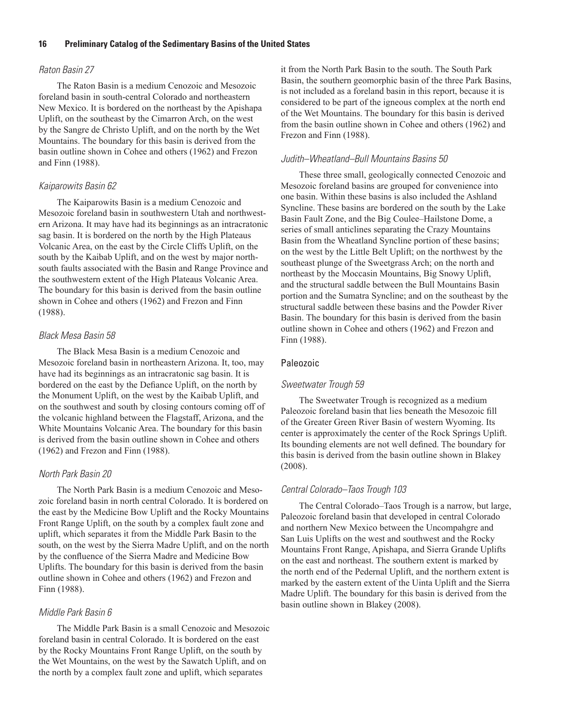### *Raton Basin 27*

The Raton Basin is a medium Cenozoic and Mesozoic foreland basin in south-central Colorado and northeastern New Mexico. It is bordered on the northeast by the Apishapa Uplift, on the southeast by the Cimarron Arch, on the west by the Sangre de Christo Uplift, and on the north by the Wet Mountains. The boundary for this basin is derived from the basin outline shown in Cohee and others (1962) and Frezon and Finn (1988).

#### *Kaiparowits Basin 62*

The Kaiparowits Basin is a medium Cenozoic and Mesozoic foreland basin in southwestern Utah and northwestern Arizona. It may have had its beginnings as an intracratonic sag basin. It is bordered on the north by the High Plateaus Volcanic Area, on the east by the Circle Cliffs Uplift, on the south by the Kaibab Uplift, and on the west by major northsouth faults associated with the Basin and Range Province and the southwestern extent of the High Plateaus Volcanic Area. The boundary for this basin is derived from the basin outline shown in Cohee and others (1962) and Frezon and Finn (1988).

### *Black Mesa Basin 58*

The Black Mesa Basin is a medium Cenozoic and Mesozoic foreland basin in northeastern Arizona. It, too, may have had its beginnings as an intracratonic sag basin. It is bordered on the east by the Defiance Uplift, on the north by the Monument Uplift, on the west by the Kaibab Uplift, and on the southwest and south by closing contours coming off of the volcanic highland between the Flagstaff, Arizona, and the White Mountains Volcanic Area. The boundary for this basin is derived from the basin outline shown in Cohee and others (1962) and Frezon and Finn (1988).

### *North Park Basin 20*

The North Park Basin is a medium Cenozoic and Mesozoic foreland basin in north central Colorado. It is bordered on the east by the Medicine Bow Uplift and the Rocky Mountains Front Range Uplift, on the south by a complex fault zone and uplift, which separates it from the Middle Park Basin to the south, on the west by the Sierra Madre Uplift, and on the north by the confluence of the Sierra Madre and Medicine Bow Uplifts. The boundary for this basin is derived from the basin outline shown in Cohee and others (1962) and Frezon and Finn (1988).

#### *Middle Park Basin 6*

The Middle Park Basin is a small Cenozoic and Mesozoic foreland basin in central Colorado. It is bordered on the east by the Rocky Mountains Front Range Uplift, on the south by the Wet Mountains, on the west by the Sawatch Uplift, and on the north by a complex fault zone and uplift, which separates

it from the North Park Basin to the south. The South Park Basin, the southern geomorphic basin of the three Park Basins, is not included as a foreland basin in this report, because it is considered to be part of the igneous complex at the north end of the Wet Mountains. The boundary for this basin is derived from the basin outline shown in Cohee and others (1962) and Frezon and Finn (1988).

#### *Judith–Wheatland–Bull Mountains Basins 50*

These three small, geologically connected Cenozoic and Mesozoic foreland basins are grouped for convenience into one basin. Within these basins is also included the Ashland Syncline. These basins are bordered on the south by the Lake Basin Fault Zone, and the Big Coulee–Hailstone Dome, a series of small anticlines separating the Crazy Mountains Basin from the Wheatland Syncline portion of these basins; on the west by the Little Belt Uplift; on the northwest by the southeast plunge of the Sweetgrass Arch; on the north and northeast by the Moccasin Mountains, Big Snowy Uplift, and the structural saddle between the Bull Mountains Basin portion and the Sumatra Syncline; and on the southeast by the structural saddle between these basins and the Powder River Basin. The boundary for this basin is derived from the basin outline shown in Cohee and others (1962) and Frezon and Finn (1988).

#### Paleozoic

#### *Sweetwater Trough 59*

The Sweetwater Trough is recognized as a medium Paleozoic foreland basin that lies beneath the Mesozoic fill of the Greater Green River Basin of western Wyoming. Its center is approximately the center of the Rock Springs Uplift. Its bounding elements are not well defined. The boundary for this basin is derived from the basin outline shown in Blakey (2008).

#### *Central Colorado–Taos Trough 103*

The Central Colorado–Taos Trough is a narrow, but large, Paleozoic foreland basin that developed in central Colorado and northern New Mexico between the Uncompahgre and San Luis Uplifts on the west and southwest and the Rocky Mountains Front Range, Apishapa, and Sierra Grande Uplifts on the east and northeast. The southern extent is marked by the north end of the Pedernal Uplift, and the northern extent is marked by the eastern extent of the Uinta Uplift and the Sierra Madre Uplift. The boundary for this basin is derived from the basin outline shown in Blakey (2008).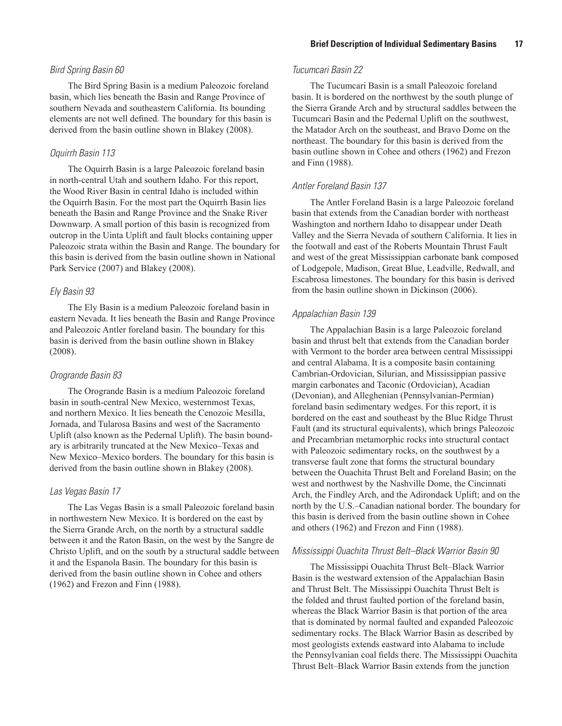#### *Bird Spring Basin 60*

The Bird Spring Basin is a medium Paleozoic foreland basin, which lies beneath the Basin and Range Province of southern Nevada and southeastern California. Its bounding elements are not well defined. The boundary for this basin is derived from the basin outline shown in Blakey (2008).

#### *Oquirrh Basin 113*

The Oquirrh Basin is a large Paleozoic foreland basin in north-central Utah and southern Idaho. For this report, the Wood River Basin in central Idaho is included within the Oquirrh Basin. For the most part the Oquirrh Basin lies beneath the Basin and Range Province and the Snake River Downwarp. A small portion of this basin is recognized from outcrop in the Uinta Uplift and fault blocks containing upper Paleozoic strata within the Basin and Range. The boundary for this basin is derived from the basin outline shown in National Park Service (2007) and Blakey (2008).

#### *Ely Basin 93*

The Ely Basin is a medium Paleozoic foreland basin in eastern Nevada. It lies beneath the Basin and Range Province and Paleozoic Antler foreland basin. The boundary for this basin is derived from the basin outline shown in Blakey (2008).

#### *Orogrande Basin 83*

The Orogrande Basin is a medium Paleozoic foreland basin in south-central New Mexico, westernmost Texas, and northern Mexico. It lies beneath the Cenozoic Mesilla, Jornada, and Tularosa Basins and west of the Sacramento Uplift (also known as the Pedernal Uplift). The basin boundary is arbitrarily truncated at the New Mexico–Texas and New Mexico–Mexico borders. The boundary for this basin is derived from the basin outline shown in Blakey (2008).

#### *Las Vegas Basin 17*

The Las Vegas Basin is a small Paleozoic foreland basin in northwestern New Mexico. It is bordered on the east by the Sierra Grande Arch, on the north by a structural saddle between it and the Raton Basin, on the west by the Sangre de Christo Uplift, and on the south by a structural saddle between it and the Espanola Basin. The boundary for this basin is derived from the basin outline shown in Cohee and others (1962) and Frezon and Finn (1988).

### *Tucumcari Basin 22*

The Tucumcari Basin is a small Paleozoic foreland basin. It is bordered on the northwest by the south plunge of the Sierra Grande Arch and by structural saddles between the Tucumcari Basin and the Pedernal Uplift on the southwest, the Matador Arch on the southeast, and Bravo Dome on the northeast. The boundary for this basin is derived from the basin outline shown in Cohee and others (1962) and Frezon and Finn (1988).

#### *Antler Foreland Basin 137*

The Antler Foreland Basin is a large Paleozoic foreland basin that extends from the Canadian border with northeast Washington and northern Idaho to disappear under Death Valley and the Sierra Nevada of southern California. It lies in the footwall and east of the Roberts Mountain Thrust Fault and west of the great Mississippian carbonate bank composed of Lodgepole, Madison, Great Blue, Leadville, Redwall, and Escabrosa limestones. The boundary for this basin is derived from the basin outline shown in Dickinson (2006).

#### *Appalachian Basin 139*

The Appalachian Basin is a large Paleozoic foreland basin and thrust belt that extends from the Canadian border with Vermont to the border area between central Mississippi and central Alabama. It is a composite basin containing Cambrian-Ordovician, Silurian, and Mississippian passive margin carbonates and Taconic (Ordovician), Acadian (Devonian), and Alleghenian (Pennsylvanian-Permian) foreland basin sedimentary wedges. For this report, it is bordered on the east and southeast by the Blue Ridge Thrust Fault (and its structural equivalents), which brings Paleozoic and Precambrian metamorphic rocks into structural contact with Paleozoic sedimentary rocks, on the southwest by a transverse fault zone that forms the structural boundary between the Ouachita Thrust Belt and Foreland Basin; on the west and northwest by the Nashville Dome, the Cincinnati Arch, the Findley Arch, and the Adirondack Uplift; and on the north by the U.S.–Canadian national border. The boundary for this basin is derived from the basin outline shown in Cohee and others (1962) and Frezon and Finn (1988).

#### *Mississippi Ouachita Thrust Belt–Black Warrior Basin 90*

The Mississippi Ouachita Thrust Belt–Black Warrior Basin is the westward extension of the Appalachian Basin and Thrust Belt. The Mississippi Ouachita Thrust Belt is the folded and thrust faulted portion of the foreland basin, whereas the Black Warrior Basin is that portion of the area that is dominated by normal faulted and expanded Paleozoic sedimentary rocks. The Black Warrior Basin as described by most geologists extends eastward into Alabama to include the Pennsylvanian coal fields there. The Mississippi Ouachita Thrust Belt–Black Warrior Basin extends from the junction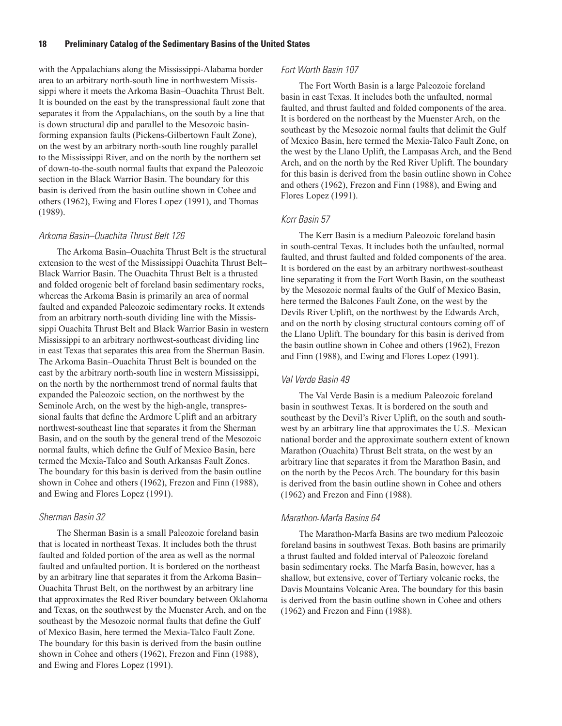with the Appalachians along the Mississippi-Alabama border area to an arbitrary north-south line in northwestern Mississippi where it meets the Arkoma Basin–Ouachita Thrust Belt. It is bounded on the east by the transpressional fault zone that separates it from the Appalachians, on the south by a line that is down structural dip and parallel to the Mesozoic basinforming expansion faults (Pickens-Gilbertown Fault Zone), on the west by an arbitrary north-south line roughly parallel to the Mississippi River, and on the north by the northern set of down-to-the-south normal faults that expand the Paleozoic section in the Black Warrior Basin. The boundary for this basin is derived from the basin outline shown in Cohee and others (1962), Ewing and Flores Lopez (1991), and Thomas (1989).

#### *Arkoma Basin–Ouachita Thrust Belt 126*

The Arkoma Basin–Ouachita Thrust Belt is the structural extension to the west of the Mississippi Ouachita Thrust Belt– Black Warrior Basin. The Ouachita Thrust Belt is a thrusted and folded orogenic belt of foreland basin sedimentary rocks, whereas the Arkoma Basin is primarily an area of normal faulted and expanded Paleozoic sedimentary rocks. It extends from an arbitrary north-south dividing line with the Mississippi Ouachita Thrust Belt and Black Warrior Basin in western Mississippi to an arbitrary northwest-southeast dividing line in east Texas that separates this area from the Sherman Basin. The Arkoma Basin–Ouachita Thrust Belt is bounded on the east by the arbitrary north-south line in western Mississippi, on the north by the northernmost trend of normal faults that expanded the Paleozoic section, on the northwest by the Seminole Arch, on the west by the high-angle, transpressional faults that define the Ardmore Uplift and an arbitrary northwest-southeast line that separates it from the Sherman Basin, and on the south by the general trend of the Mesozoic normal faults, which define the Gulf of Mexico Basin, here termed the Mexia-Talco and South Arkansas Fault Zones. The boundary for this basin is derived from the basin outline shown in Cohee and others (1962), Frezon and Finn (1988), and Ewing and Flores Lopez (1991).

#### *Sherman Basin 32*

The Sherman Basin is a small Paleozoic foreland basin that is located in northeast Texas. It includes both the thrust faulted and folded portion of the area as well as the normal faulted and unfaulted portion. It is bordered on the northeast by an arbitrary line that separates it from the Arkoma Basin– Ouachita Thrust Belt, on the northwest by an arbitrary line that approximates the Red River boundary between Oklahoma and Texas, on the southwest by the Muenster Arch, and on the southeast by the Mesozoic normal faults that define the Gulf of Mexico Basin, here termed the Mexia-Talco Fault Zone. The boundary for this basin is derived from the basin outline shown in Cohee and others (1962), Frezon and Finn (1988), and Ewing and Flores Lopez (1991).

#### *Fort Worth Basin 107*

The Fort Worth Basin is a large Paleozoic foreland basin in east Texas. It includes both the unfaulted, normal faulted, and thrust faulted and folded components of the area. It is bordered on the northeast by the Muenster Arch, on the southeast by the Mesozoic normal faults that delimit the Gulf of Mexico Basin, here termed the Mexia-Talco Fault Zone, on the west by the Llano Uplift, the Lampasas Arch, and the Bend Arch, and on the north by the Red River Uplift. The boundary for this basin is derived from the basin outline shown in Cohee and others (1962), Frezon and Finn (1988), and Ewing and Flores Lopez (1991).

#### *Kerr Basin 57*

The Kerr Basin is a medium Paleozoic foreland basin in south-central Texas. It includes both the unfaulted, normal faulted, and thrust faulted and folded components of the area. It is bordered on the east by an arbitrary northwest-southeast line separating it from the Fort Worth Basin, on the southeast by the Mesozoic normal faults of the Gulf of Mexico Basin, here termed the Balcones Fault Zone, on the west by the Devils River Uplift, on the northwest by the Edwards Arch, and on the north by closing structural contours coming off of the Llano Uplift. The boundary for this basin is derived from the basin outline shown in Cohee and others (1962), Frezon and Finn (1988), and Ewing and Flores Lopez (1991).

#### *Val Verde Basin 49*

The Val Verde Basin is a medium Paleozoic foreland basin in southwest Texas. It is bordered on the south and southeast by the Devil's River Uplift, on the south and southwest by an arbitrary line that approximates the U.S.–Mexican national border and the approximate southern extent of known Marathon (Ouachita) Thrust Belt strata, on the west by an arbitrary line that separates it from the Marathon Basin, and on the north by the Pecos Arch. The boundary for this basin is derived from the basin outline shown in Cohee and others (1962) and Frezon and Finn (1988).

#### *Marathon*-*Marfa Basins 64*

The Marathon-Marfa Basins are two medium Paleozoic foreland basins in southwest Texas. Both basins are primarily a thrust faulted and folded interval of Paleozoic foreland basin sedimentary rocks. The Marfa Basin, however, has a shallow, but extensive, cover of Tertiary volcanic rocks, the Davis Mountains Volcanic Area. The boundary for this basin is derived from the basin outline shown in Cohee and others (1962) and Frezon and Finn (1988).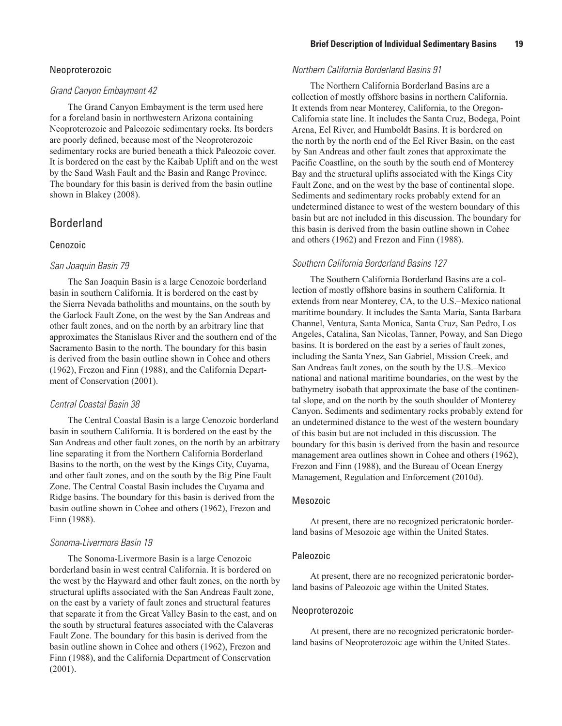#### Neoproterozoic

### *Grand Canyon Embayment 42*

The Grand Canyon Embayment is the term used here for a foreland basin in northwestern Arizona containing Neoproterozoic and Paleozoic sedimentary rocks. Its borders are poorly defined, because most of the Neoproterozoic sedimentary rocks are buried beneath a thick Paleozoic cover. It is bordered on the east by the Kaibab Uplift and on the west by the Sand Wash Fault and the Basin and Range Province. The boundary for this basin is derived from the basin outline shown in Blakey (2008).

# Borderland

#### Cenozoic

#### *San Joaquin Basin 79*

The San Joaquin Basin is a large Cenozoic borderland basin in southern California. It is bordered on the east by the Sierra Nevada batholiths and mountains, on the south by the Garlock Fault Zone, on the west by the San Andreas and other fault zones, and on the north by an arbitrary line that approximates the Stanislaus River and the southern end of the Sacramento Basin to the north. The boundary for this basin is derived from the basin outline shown in Cohee and others (1962), Frezon and Finn (1988), and the California Department of Conservation (2001).

#### *Central Coastal Basin 38*

The Central Coastal Basin is a large Cenozoic borderland basin in southern California. It is bordered on the east by the San Andreas and other fault zones, on the north by an arbitrary line separating it from the Northern California Borderland Basins to the north, on the west by the Kings City, Cuyama, and other fault zones, and on the south by the Big Pine Fault Zone. The Central Coastal Basin includes the Cuyama and Ridge basins. The boundary for this basin is derived from the basin outline shown in Cohee and others (1962), Frezon and Finn (1988).

#### *Sonoma*-*Livermore Basin 19*

The Sonoma-Livermore Basin is a large Cenozoic borderland basin in west central California. It is bordered on the west by the Hayward and other fault zones, on the north by structural uplifts associated with the San Andreas Fault zone, on the east by a variety of fault zones and structural features that separate it from the Great Valley Basin to the east, and on the south by structural features associated with the Calaveras Fault Zone. The boundary for this basin is derived from the basin outline shown in Cohee and others (1962), Frezon and Finn (1988), and the California Department of Conservation (2001).

### *Northern California Borderland Basins 91*

The Northern California Borderland Basins are a collection of mostly offshore basins in northern California. It extends from near Monterey, California, to the Oregon-California state line. It includes the Santa Cruz, Bodega, Point Arena, Eel River, and Humboldt Basins. It is bordered on the north by the north end of the Eel River Basin, on the east by San Andreas and other fault zones that approximate the Pacific Coastline, on the south by the south end of Monterey Bay and the structural uplifts associated with the Kings City Fault Zone, and on the west by the base of continental slope. Sediments and sedimentary rocks probably extend for an undetermined distance to west of the western boundary of this basin but are not included in this discussion. The boundary for this basin is derived from the basin outline shown in Cohee and others (1962) and Frezon and Finn (1988).

#### *Southern California Borderland Basins 127*

The Southern California Borderland Basins are a collection of mostly offshore basins in southern California. It extends from near Monterey, CA, to the U.S.–Mexico national maritime boundary. It includes the Santa Maria, Santa Barbara Channel, Ventura, Santa Monica, Santa Cruz, San Pedro, Los Angeles, Catalina, San Nicolas, Tanner, Poway, and San Diego basins. It is bordered on the east by a series of fault zones, including the Santa Ynez, San Gabriel, Mission Creek, and San Andreas fault zones, on the south by the U.S.–Mexico national and national maritime boundaries, on the west by the bathymetry isobath that approximate the base of the continental slope, and on the north by the south shoulder of Monterey Canyon. Sediments and sedimentary rocks probably extend for an undetermined distance to the west of the western boundary of this basin but are not included in this discussion. The boundary for this basin is derived from the basin and resource management area outlines shown in Cohee and others (1962), Frezon and Finn (1988), and the Bureau of Ocean Energy Management, Regulation and Enforcement (2010d).

#### Mesozoic

At present, there are no recognized pericratonic borderland basins of Mesozoic age within the United States.

#### Paleozoic

At present, there are no recognized pericratonic borderland basins of Paleozoic age within the United States.

#### Neoproterozoic

At present, there are no recognized pericratonic borderland basins of Neoproterozoic age within the United States.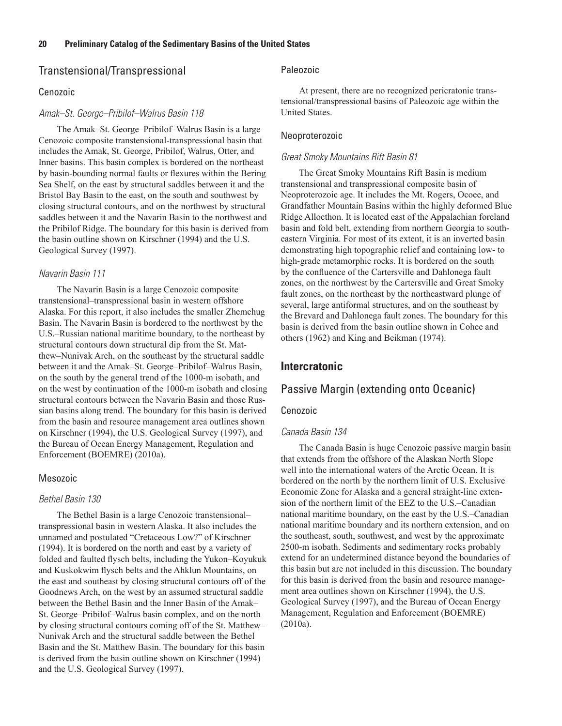# Transtensional/Transpressional

#### Cenozoic

#### *Amak–St. George–Pribilof–Walrus Basin 118*

The Amak–St. George–Pribilof–Walrus Basin is a large Cenozoic composite transtensional-transpressional basin that includes the Amak, St. George, Pribilof, Walrus, Otter, and Inner basins. This basin complex is bordered on the northeast by basin-bounding normal faults or flexures within the Bering Sea Shelf, on the east by structural saddles between it and the Bristol Bay Basin to the east, on the south and southwest by closing structural contours, and on the northwest by structural saddles between it and the Navarin Basin to the northwest and the Pribilof Ridge. The boundary for this basin is derived from the basin outline shown on Kirschner (1994) and the U.S. Geological Survey (1997).

#### *Navarin Basin 111*

The Navarin Basin is a large Cenozoic composite transtensional–transpressional basin in western offshore Alaska. For this report, it also includes the smaller Zhemchug Basin. The Navarin Basin is bordered to the northwest by the U.S.–Russian national maritime boundary, to the northeast by structural contours down structural dip from the St. Matthew–Nunivak Arch, on the southeast by the structural saddle between it and the Amak–St. George–Pribilof–Walrus Basin, on the south by the general trend of the 1000-m isobath, and on the west by continuation of the 1000-m isobath and closing structural contours between the Navarin Basin and those Russian basins along trend. The boundary for this basin is derived from the basin and resource management area outlines shown on Kirschner (1994), the U.S. Geological Survey (1997), and the Bureau of Ocean Energy Management, Regulation and Enforcement (BOEMRE) (2010a).

#### Mesozoic

#### *Bethel Basin 130*

The Bethel Basin is a large Cenozoic transtensional– transpressional basin in western Alaska. It also includes the unnamed and postulated "Cretaceous Low?" of Kirschner (1994). It is bordered on the north and east by a variety of folded and faulted flysch belts, including the Yukon–Koyukuk and Kuskokwim flysch belts and the Ahklun Mountains, on the east and southeast by closing structural contours off of the Goodnews Arch, on the west by an assumed structural saddle between the Bethel Basin and the Inner Basin of the Amak– St. George–Pribilof–Walrus basin complex, and on the north by closing structural contours coming off of the St. Matthew– Nunivak Arch and the structural saddle between the Bethel Basin and the St. Matthew Basin. The boundary for this basin is derived from the basin outline shown on Kirschner (1994) and the U.S. Geological Survey (1997).

#### Paleozoic

At present, there are no recognized pericratonic transtensional/transpressional basins of Paleozoic age within the United States.

#### Neoproterozoic

#### *Great Smoky Mountains Rift Basin 81*

The Great Smoky Mountains Rift Basin is medium transtensional and transpressional composite basin of Neoproterozoic age. It includes the Mt. Rogers, Ocoee, and Grandfather Mountain Basins within the highly deformed Blue Ridge Allocthon. It is located east of the Appalachian foreland basin and fold belt, extending from northern Georgia to southeastern Virginia. For most of its extent, it is an inverted basin demonstrating high topographic relief and containing low- to high-grade metamorphic rocks. It is bordered on the south by the confluence of the Cartersville and Dahlonega fault zones, on the northwest by the Cartersville and Great Smoky fault zones, on the northeast by the northeastward plunge of several, large antiformal structures, and on the southeast by the Brevard and Dahlonega fault zones. The boundary for this basin is derived from the basin outline shown in Cohee and others (1962) and King and Beikman (1974).

# **Intercratonic**

# Passive Margin (extending onto Oceanic)

#### Cenozoic

#### *Canada Basin 134*

The Canada Basin is huge Cenozoic passive margin basin that extends from the offshore of the Alaskan North Slope well into the international waters of the Arctic Ocean. It is bordered on the north by the northern limit of U.S. Exclusive Economic Zone for Alaska and a general straight-line extension of the northern limit of the EEZ to the U.S.–Canadian national maritime boundary, on the east by the U.S.–Canadian national maritime boundary and its northern extension, and on the southeast, south, southwest, and west by the approximate 2500-m isobath. Sediments and sedimentary rocks probably extend for an undetermined distance beyond the boundaries of this basin but are not included in this discussion. The boundary for this basin is derived from the basin and resource management area outlines shown on Kirschner (1994), the U.S. Geological Survey (1997), and the Bureau of Ocean Energy Management, Regulation and Enforcement (BOEMRE) (2010a).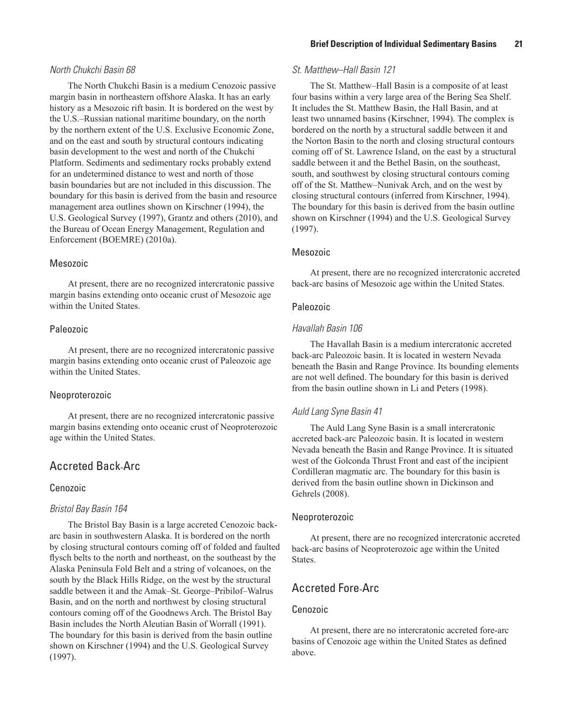#### *North Chukchi Basin 68*

The North Chukchi Basin is a medium Cenozoic passive margin basin in northeastern offshore Alaska. It has an early history as a Mesozoic rift basin. It is bordered on the west by the U.S.–Russian national maritime boundary, on the north by the northern extent of the U.S. Exclusive Economic Zone, and on the east and south by structural contours indicating basin development to the west and north of the Chukchi Platform. Sediments and sedimentary rocks probably extend for an undetermined distance to west and north of those basin boundaries but are not included in this discussion. The boundary for this basin is derived from the basin and resource management area outlines shown on Kirschner (1994), the U.S. Geological Survey (1997), Grantz and others (2010), and the Bureau of Ocean Energy Management, Regulation and Enforcement (BOEMRE) (2010a).

#### Mesozoic

At present, there are no recognized intercratonic passive margin basins extending onto oceanic crust of Mesozoic age within the United States.

#### Paleozoic

At present, there are no recognized intercratonic passive margin basins extending onto oceanic crust of Paleozoic age within the United States.

#### Neoproterozoic

At present, there are no recognized intercratonic passive margin basins extending onto oceanic crust of Neoproterozoic age within the United States.

# Accreted Back-Arc

### Cenozoic

#### *Bristol Bay Basin 164*

The Bristol Bay Basin is a large accreted Cenozoic backarc basin in southwestern Alaska. It is bordered on the north by closing structural contours coming off of folded and faulted flysch belts to the north and northeast, on the southeast by the Alaska Peninsula Fold Belt and a string of volcanoes, on the south by the Black Hills Ridge, on the west by the structural saddle between it and the Amak–St. George–Pribilof–Walrus Basin, and on the north and northwest by closing structural contours coming off of the Goodnews Arch. The Bristol Bay Basin includes the North Aleutian Basin of Worrall (1991). The boundary for this basin is derived from the basin outline shown on Kirschner (1994) and the U.S. Geological Survey (1997).

### *St. Matthew–Hall Basin 121*

The St. Matthew–Hall Basin is a composite of at least four basins within a very large area of the Bering Sea Shelf. It includes the St. Matthew Basin, the Hall Basin, and at least two unnamed basins (Kirschner, 1994). The complex is bordered on the north by a structural saddle between it and the Norton Basin to the north and closing structural contours coming off of St. Lawrence Island, on the east by a structural saddle between it and the Bethel Basin, on the southeast, south, and southwest by closing structural contours coming off of the St. Matthew–Nunivak Arch, and on the west by closing structural contours (inferred from Kirschner, 1994). The boundary for this basin is derived from the basin outline shown on Kirschner (1994) and the U.S. Geological Survey (1997).

#### Mesozoic

At present, there are no recognized intercratonic accreted back-arc basins of Mesozoic age within the United States.

#### Paleozoic

#### *Havallah Basin 106*

The Havallah Basin is a medium intercratonic accreted back-arc Paleozoic basin. It is located in western Nevada beneath the Basin and Range Province. Its bounding elements are not well defined. The boundary for this basin is derived from the basin outline shown in Li and Peters (1998).

#### *Auld Lang Syne Basin 41*

The Auld Lang Syne Basin is a small intercratonic accreted back-arc Paleozoic basin. It is located in western Nevada beneath the Basin and Range Province. It is situated west of the Golconda Thrust Front and east of the incipient Cordilleran magmatic arc. The boundary for this basin is derived from the basin outline shown in Dickinson and Gehrels (2008).

#### Neoproterozoic

At present, there are no recognized intercratonic accreted back-arc basins of Neoproterozoic age within the United States.

# Accreted Fore-Arc

#### Cenozoic

At present, there are no intercratonic accreted fore-arc basins of Cenozoic age within the United States as defined above.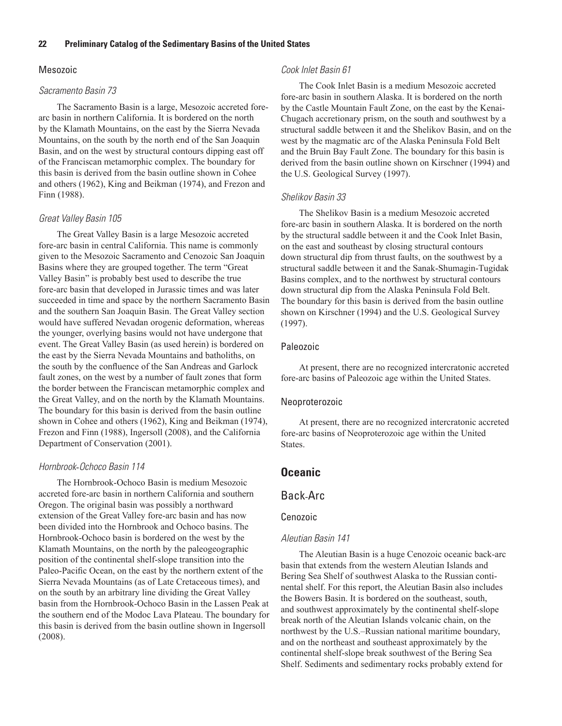### Mesozoic

#### *Sacramento Basin 73*

The Sacramento Basin is a large, Mesozoic accreted forearc basin in northern California. It is bordered on the north by the Klamath Mountains, on the east by the Sierra Nevada Mountains, on the south by the north end of the San Joaquin Basin, and on the west by structural contours dipping east off of the Franciscan metamorphic complex. The boundary for this basin is derived from the basin outline shown in Cohee and others (1962), King and Beikman (1974), and Frezon and Finn (1988).

#### *Great Valley Basin 105*

The Great Valley Basin is a large Mesozoic accreted fore-arc basin in central California. This name is commonly given to the Mesozoic Sacramento and Cenozoic San Joaquin Basins where they are grouped together. The term "Great Valley Basin" is probably best used to describe the true fore-arc basin that developed in Jurassic times and was later succeeded in time and space by the northern Sacramento Basin and the southern San Joaquin Basin. The Great Valley section would have suffered Nevadan orogenic deformation, whereas the younger, overlying basins would not have undergone that event. The Great Valley Basin (as used herein) is bordered on the east by the Sierra Nevada Mountains and batholiths, on the south by the confluence of the San Andreas and Garlock fault zones, on the west by a number of fault zones that form the border between the Franciscan metamorphic complex and the Great Valley, and on the north by the Klamath Mountains. The boundary for this basin is derived from the basin outline shown in Cohee and others (1962), King and Beikman (1974), Frezon and Finn (1988), Ingersoll (2008), and the California Department of Conservation (2001).

#### *Hornbrook*-*Ochoco Basin 114*

The Hornbrook-Ochoco Basin is medium Mesozoic accreted fore-arc basin in northern California and southern Oregon. The original basin was possibly a northward extension of the Great Valley fore-arc basin and has now been divided into the Hornbrook and Ochoco basins. The Hornbrook-Ochoco basin is bordered on the west by the Klamath Mountains, on the north by the paleogeographic position of the continental shelf-slope transition into the Paleo-Pacific Ocean, on the east by the northern extent of the Sierra Nevada Mountains (as of Late Cretaceous times), and on the south by an arbitrary line dividing the Great Valley basin from the Hornbrook-Ochoco Basin in the Lassen Peak at the southern end of the Modoc Lava Plateau. The boundary for this basin is derived from the basin outline shown in Ingersoll (2008).

#### *Cook Inlet Basin 61*

The Cook Inlet Basin is a medium Mesozoic accreted fore-arc basin in southern Alaska. It is bordered on the north by the Castle Mountain Fault Zone, on the east by the Kenai-Chugach accretionary prism, on the south and southwest by a structural saddle between it and the Shelikov Basin, and on the west by the magmatic arc of the Alaska Peninsula Fold Belt and the Bruin Bay Fault Zone. The boundary for this basin is derived from the basin outline shown on Kirschner (1994) and the U.S. Geological Survey (1997).

#### *Shelikov Basin 33*

The Shelikov Basin is a medium Mesozoic accreted fore-arc basin in southern Alaska. It is bordered on the north by the structural saddle between it and the Cook Inlet Basin, on the east and southeast by closing structural contours down structural dip from thrust faults, on the southwest by a structural saddle between it and the Sanak-Shumagin-Tugidak Basins complex, and to the northwest by structural contours down structural dip from the Alaska Peninsula Fold Belt. The boundary for this basin is derived from the basin outline shown on Kirschner (1994) and the U.S. Geological Survey (1997).

#### Paleozoic

At present, there are no recognized intercratonic accreted fore-arc basins of Paleozoic age within the United States.

#### Neoproterozoic

At present, there are no recognized intercratonic accreted fore-arc basins of Neoproterozoic age within the United States.

## **Oceanic**

### Back-Arc

#### Cenozoic

#### *Aleutian Basin 141*

The Aleutian Basin is a huge Cenozoic oceanic back-arc basin that extends from the western Aleutian Islands and Bering Sea Shelf of southwest Alaska to the Russian continental shelf. For this report, the Aleutian Basin also includes the Bowers Basin. It is bordered on the southeast, south, and southwest approximately by the continental shelf-slope break north of the Aleutian Islands volcanic chain, on the northwest by the U.S.–Russian national maritime boundary, and on the northeast and southeast approximately by the continental shelf-slope break southwest of the Bering Sea Shelf. Sediments and sedimentary rocks probably extend for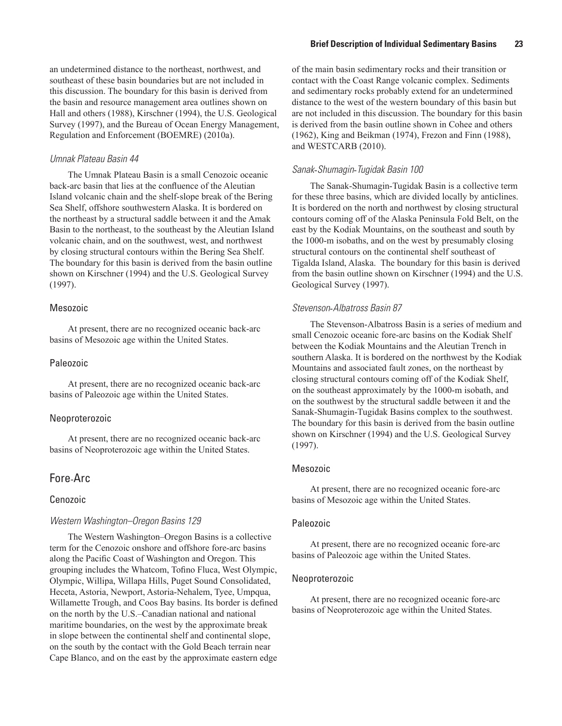an undetermined distance to the northeast, northwest, and southeast of these basin boundaries but are not included in this discussion. The boundary for this basin is derived from the basin and resource management area outlines shown on Hall and others (1988), Kirschner (1994), the U.S. Geological Survey (1997), and the Bureau of Ocean Energy Management, Regulation and Enforcement (BOEMRE) (2010a).

### *Umnak Plateau Basin 44*

The Umnak Plateau Basin is a small Cenozoic oceanic back-arc basin that lies at the confluence of the Aleutian Island volcanic chain and the shelf-slope break of the Bering Sea Shelf, offshore southwestern Alaska. It is bordered on the northeast by a structural saddle between it and the Amak Basin to the northeast, to the southeast by the Aleutian Island volcanic chain, and on the southwest, west, and northwest by closing structural contours within the Bering Sea Shelf. The boundary for this basin is derived from the basin outline shown on Kirschner (1994) and the U.S. Geological Survey (1997).

### Mesozoic

At present, there are no recognized oceanic back-arc basins of Mesozoic age within the United States.

#### Paleozoic

At present, there are no recognized oceanic back-arc basins of Paleozoic age within the United States.

#### Neoproterozoic

At present, there are no recognized oceanic back-arc basins of Neoproterozoic age within the United States.

### Fore-Arc

#### Cenozoic

#### *Western Washington–Oregon Basins 129*

The Western Washington–Oregon Basins is a collective term for the Cenozoic onshore and offshore fore-arc basins along the Pacific Coast of Washington and Oregon. This grouping includes the Whatcom, Tofino Fluca, West Olympic, Olympic, Willipa, Willapa Hills, Puget Sound Consolidated, Heceta, Astoria, Newport, Astoria-Nehalem, Tyee, Umpqua, Willamette Trough, and Coos Bay basins. Its border is defined on the north by the U.S.–Canadian national and national maritime boundaries, on the west by the approximate break in slope between the continental shelf and continental slope, on the south by the contact with the Gold Beach terrain near Cape Blanco, and on the east by the approximate eastern edge

of the main basin sedimentary rocks and their transition or contact with the Coast Range volcanic complex. Sediments and sedimentary rocks probably extend for an undetermined distance to the west of the western boundary of this basin but are not included in this discussion. The boundary for this basin is derived from the basin outline shown in Cohee and others (1962), King and Beikman (1974), Frezon and Finn (1988), and WESTCARB (2010).

#### *Sanak*-*Shumagin*-*Tugidak Basin 100*

The Sanak-Shumagin-Tugidak Basin is a collective term for these three basins, which are divided locally by anticlines. It is bordered on the north and northwest by closing structural contours coming off of the Alaska Peninsula Fold Belt, on the east by the Kodiak Mountains, on the southeast and south by the 1000-m isobaths, and on the west by presumably closing structural contours on the continental shelf southeast of Tigalda Island, Alaska. The boundary for this basin is derived from the basin outline shown on Kirschner (1994) and the U.S. Geological Survey (1997).

#### *Stevenson*-*Albatross Basin 87*

The Stevenson-Albatross Basin is a series of medium and small Cenozoic oceanic fore-arc basins on the Kodiak Shelf between the Kodiak Mountains and the Aleutian Trench in southern Alaska. It is bordered on the northwest by the Kodiak Mountains and associated fault zones, on the northeast by closing structural contours coming off of the Kodiak Shelf, on the southeast approximately by the 1000-m isobath, and on the southwest by the structural saddle between it and the Sanak-Shumagin-Tugidak Basins complex to the southwest. The boundary for this basin is derived from the basin outline shown on Kirschner (1994) and the U.S. Geological Survey (1997).

#### Mesozoic

At present, there are no recognized oceanic fore-arc basins of Mesozoic age within the United States.

#### Paleozoic

At present, there are no recognized oceanic fore-arc basins of Paleozoic age within the United States.

#### Neoproterozoic

At present, there are no recognized oceanic fore-arc basins of Neoproterozoic age within the United States.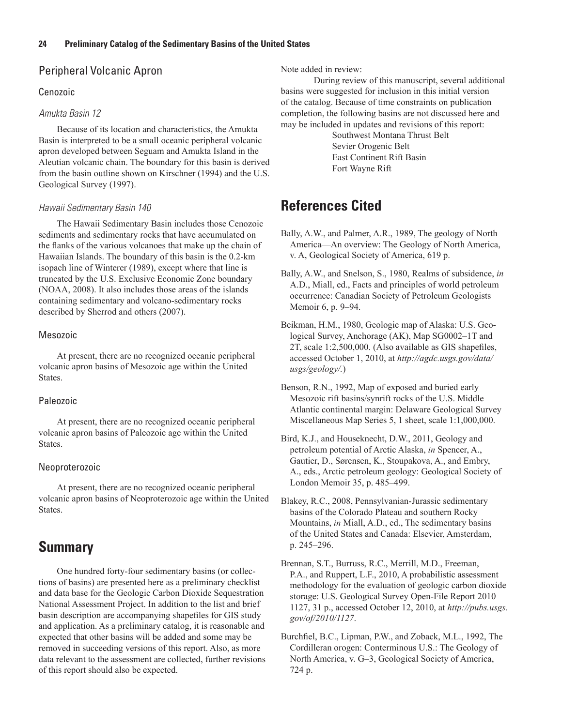# Peripheral Volcanic Apron

# Cenozoic

# *Amukta Basin 12*

Because of its location and characteristics, the Amukta Basin is interpreted to be a small oceanic peripheral volcanic apron developed between Seguam and Amukta Island in the Aleutian volcanic chain. The boundary for this basin is derived from the basin outline shown on Kirschner (1994) and the U.S. Geological Survey (1997).

# *Hawaii Sedimentary Basin 140*

The Hawaii Sedimentary Basin includes those Cenozoic sediments and sedimentary rocks that have accumulated on the flanks of the various volcanoes that make up the chain of Hawaiian Islands. The boundary of this basin is the 0.2-km isopach line of Winterer (1989), except where that line is truncated by the U.S. Exclusive Economic Zone boundary (NOAA, 2008). It also includes those areas of the islands containing sedimentary and volcano-sedimentary rocks described by Sherrod and others (2007).

# Mesozoic

At present, there are no recognized oceanic peripheral volcanic apron basins of Mesozoic age within the United States.

# Paleozoic

At present, there are no recognized oceanic peripheral volcanic apron basins of Paleozoic age within the United States.

# Neoproterozoic

At present, there are no recognized oceanic peripheral volcanic apron basins of Neoproterozoic age within the United States.

# **Summary**

One hundred forty-four sedimentary basins (or collections of basins) are presented here as a preliminary checklist and data base for the Geologic Carbon Dioxide Sequestration National Assessment Project. In addition to the list and brief basin description are accompanying shapefiles for GIS study and application. As a preliminary catalog, it is reasonable and expected that other basins will be added and some may be removed in succeeding versions of this report. Also, as more data relevant to the assessment are collected, further revisions of this report should also be expected.

Note added in review:

During review of this manuscript, several additional basins were suggested for inclusion in this initial version of the catalog. Because of time constraints on publication completion, the following basins are not discussed here and may be included in updates and revisions of this report:

> Southwest Montana Thrust Belt Sevier Orogenic Belt East Continent Rift Basin Fort Wayne Rift

# **References Cited**

- Bally, A.W., and Palmer, A.R., 1989, The geology of North America—An overview: The Geology of North America, v. A, Geological Society of America, 619 p.
- Bally, A.W., and Snelson, S., 1980, Realms of subsidence, *in* A.D., Miall, ed., Facts and principles of world petroleum occurrence: Canadian Society of Petroleum Geologists Memoir 6, p. 9–94.
- Beikman, H.M., 1980, Geologic map of Alaska: U.S. Geological Survey, Anchorage (AK), Map SG0002–1T and 2T, scale 1:2,500,000. (Also available as GIS shapefiles, accessed October 1, 2010, at *http://agdc.usgs.gov/data/ usgs/geology/.*)
- Benson, R.N., 1992, Map of exposed and buried early Mesozoic rift basins/synrift rocks of the U.S. Middle Atlantic continental margin: Delaware Geological Survey Miscellaneous Map Series 5, 1 sheet, scale 1:1,000,000.
- Bird, K.J., and Houseknecht, D.W., 2011, Geology and petroleum potential of Arctic Alaska, *in* Spencer, A., Gautier, D., Sørensen, K., Stoupakova, A., and Embry, A., eds., Arctic petroleum geology: Geological Society of London Memoir 35, p. 485–499.
- Blakey, R.C., 2008, Pennsylvanian-Jurassic sedimentary basins of the Colorado Plateau and southern Rocky Mountains, *in* Miall, A.D., ed., The sedimentary basins of the United States and Canada: Elsevier, Amsterdam, p. 245–296.
- Brennan, S.T., Burruss, R.C., Merrill, M.D., Freeman, P.A., and Ruppert, L.F., 2010, A probabilistic assessment methodology for the evaluation of geologic carbon dioxide storage: U.S. Geological Survey Open-File Report 2010– 1127, 31 p., accessed October 12, 2010, at *http://pubs.usgs. gov/of/2010/1127*.
- Burchfiel, B.C., Lipman, P.W., and Zoback, M.L., 1992, The Cordilleran orogen: Conterminous U.S.: The Geology of North America, v. G–3, Geological Society of America, 724 p.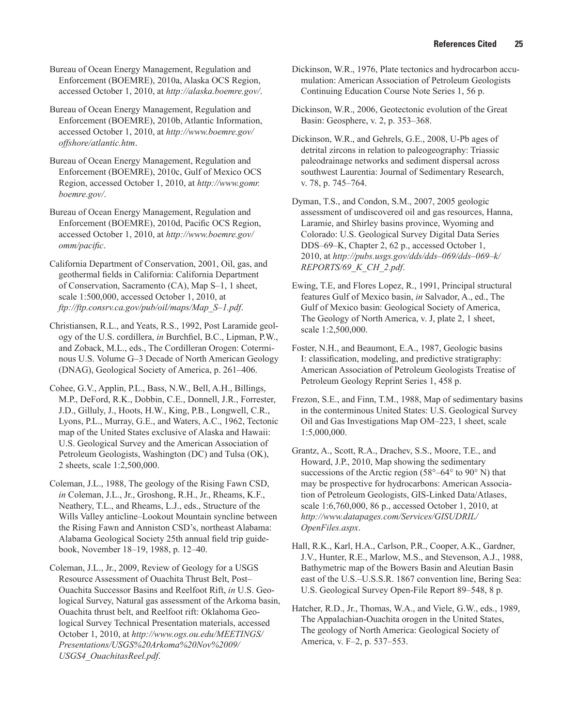Bureau of Ocean Energy Management, Regulation and Enforcement (BOEMRE), 2010a, Alaska OCS Region, accessed October 1, 2010, at *http://alaska.boemre.gov/*.

Bureau of Ocean Energy Management, Regulation and Enforcement (BOEMRE), 2010b, Atlantic Information, accessed October 1, 2010, at *http://www.boemre.gov/ offshore/atlantic.htm*.

Bureau of Ocean Energy Management, Regulation and Enforcement (BOEMRE), 2010c, Gulf of Mexico OCS Region, accessed October 1, 2010, at *http://www.gomr. boemre.gov/*.

Bureau of Ocean Energy Management, Regulation and Enforcement (BOEMRE), 2010d, Pacific OCS Region, accessed October 1, 2010, at *http://www.boemre.gov/ omm/pacific*.

California Department of Conservation, 2001, Oil, gas, and geothermal fields in California: California Department of Conservation, Sacramento (CA), Map S–1, 1 sheet, scale 1:500,000, accessed October 1, 2010, at *ftp://ftp.consrv.ca.gov/pub/oil/maps/Map\_S–1.pdf*.

Christiansen, R.L., and Yeats, R.S., 1992, Post Laramide geology of the U.S. cordillera, *in* Burchfiel, B.C., Lipman, P.W., and Zoback, M.L., eds., The Cordilleran Orogen: Coterminous U.S. Volume G–3 Decade of North American Geology (DNAG), Geological Society of America, p. 261–406.

Cohee, G.V., Applin, P.L., Bass, N.W., Bell, A.H., Billings, M.P., DeFord, R.K., Dobbin, C.E., Donnell, J.R., Forrester, J.D., Gilluly, J., Hoots, H.W., King, P.B., Longwell, C.R., Lyons, P.L., Murray, G.E., and Waters, A.C., 1962, Tectonic map of the United States exclusive of Alaska and Hawaii: U.S. Geological Survey and the American Association of Petroleum Geologists, Washington (DC) and Tulsa (OK), 2 sheets, scale 1:2,500,000.

Coleman, J.L., 1988, The geology of the Rising Fawn CSD, *in* Coleman, J.L., Jr., Groshong, R.H., Jr., Rheams, K.F., Neathery, T.L., and Rheams, L.J., eds., Structure of the Wills Valley anticline–Lookout Mountain syncline between the Rising Fawn and Anniston CSD's, northeast Alabama: Alabama Geological Society 25th annual field trip guidebook, November 18–19, 1988, p. 12–40.

Coleman, J.L., Jr., 2009, Review of Geology for a USGS Resource Assessment of Ouachita Thrust Belt, Post– Ouachita Successor Basins and Reelfoot Rift, *in* U.S. Geological Survey, Natural gas assessment of the Arkoma basin, Ouachita thrust belt, and Reelfoot rift: Oklahoma Geological Survey Technical Presentation materials, accessed October 1, 2010, at *http://www.ogs.ou.edu/MEETINGS/ Presentations/USGS%20Arkoma%20Nov%2009/ USGS4\_OuachitasReel.pdf*.

Dickinson, W.R., 1976, Plate tectonics and hydrocarbon accumulation: American Association of Petroleum Geologists Continuing Education Course Note Series 1, 56 p.

Dickinson, W.R., 2006, Geotectonic evolution of the Great Basin: Geosphere, v. 2, p. 353–368.

Dickinson, W.R., and Gehrels, G.E., 2008, U-Pb ages of detrital zircons in relation to paleogeography: Triassic paleodrainage networks and sediment dispersal across southwest Laurentia: Journal of Sedimentary Research, v. 78, p. 745–764.

Dyman, T.S., and Condon, S.M., 2007, 2005 geologic assessment of undiscovered oil and gas resources, Hanna, Laramie, and Shirley basins province, Wyoming and Colorado: U.S. Geological Survey Digital Data Series DDS–69–K, Chapter 2, 62 p., accessed October 1, 2010, at *http://pubs.usgs.gov/dds/dds–069/dds–069–k/ REPORTS/69\_K\_CH\_2.pdf*.

Ewing, T.E, and Flores Lopez, R., 1991, Principal structural features Gulf of Mexico basin, *in* Salvador, A., ed., The Gulf of Mexico basin: Geological Society of America, The Geology of North America, v. J, plate 2, 1 sheet, scale 1:2,500,000.

Foster, N.H., and Beaumont, E.A., 1987, Geologic basins I: classification, modeling, and predictive stratigraphy: American Association of Petroleum Geologists Treatise of Petroleum Geology Reprint Series 1, 458 p.

Frezon, S.E., and Finn, T.M., 1988, Map of sedimentary basins in the conterminous United States: U.S. Geological Survey Oil and Gas Investigations Map OM–223, 1 sheet, scale 1:5,000,000.

Grantz, A., Scott, R.A., Drachev, S.S., Moore, T.E., and Howard, J.P., 2010, Map showing the sedimentary successions of the Arctic region (58°–64° to 90° N) that may be prospective for hydrocarbons: American Association of Petroleum Geologists, GIS-Linked Data/Atlases, scale 1:6,760,000, 86 p., accessed October 1, 2010, at *http://www.datapages.com/Services/GISUDRIL/ OpenFiles.aspx*.

Hall, R.K., Karl, H.A., Carlson, P.R., Cooper, A.K., Gardner, J.V., Hunter, R.E., Marlow, M.S., and Stevenson, A.J., 1988, Bathymetric map of the Bowers Basin and Aleutian Basin east of the U.S.–U.S.S.R. 1867 convention line, Bering Sea: U.S. Geological Survey Open-File Report 89–548, 8 p.

Hatcher, R.D., Jr., Thomas, W.A., and Viele, G.W., eds., 1989, The Appalachian-Ouachita orogen in the United States, The geology of North America: Geological Society of America, v. F–2, p. 537–553.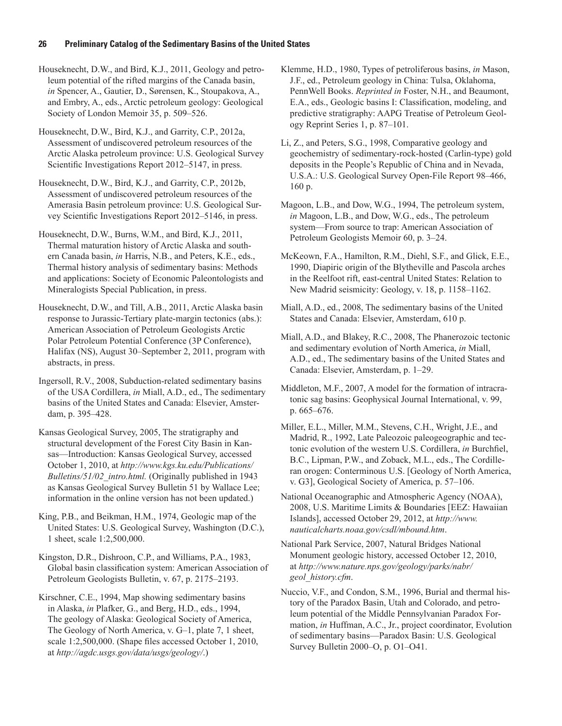Houseknecht, D.W., and Bird, K.J., 2011, Geology and petroleum potential of the rifted margins of the Canada basin, *in* Spencer, A., Gautier, D., Sørensen, K., Stoupakova, A., and Embry, A., eds., Arctic petroleum geology: Geological Society of London Memoir 35, p. 509–526.

Houseknecht, D.W., Bird, K.J., and Garrity, C.P., 2012a, Assessment of undiscovered petroleum resources of the Arctic Alaska petroleum province: U.S. Geological Survey Scientific Investigations Report 2012–5147, in press.

Houseknecht, D.W., Bird, K.J., and Garrity, C.P., 2012b, Assessment of undiscovered petroleum resources of the Amerasia Basin petroleum province: U.S. Geological Survey Scientific Investigations Report 2012–5146, in press.

Houseknecht, D.W., Burns, W.M., and Bird, K.J., 2011, Thermal maturation history of Arctic Alaska and southern Canada basin, *in* Harris, N.B., and Peters, K.E., eds., Thermal history analysis of sedimentary basins: Methods and applications: Society of Economic Paleontologists and Mineralogists Special Publication, in press.

Houseknecht, D.W., and Till, A.B., 2011, Arctic Alaska basin response to Jurassic-Tertiary plate-margin tectonics (abs.): American Association of Petroleum Geologists Arctic Polar Petroleum Potential Conference (3P Conference), Halifax (NS), August 30–September 2, 2011, program with abstracts, in press.

Ingersoll, R.V., 2008, Subduction-related sedimentary basins of the USA Cordillera, *in* Miall, A.D., ed., The sedimentary basins of the United States and Canada: Elsevier, Amsterdam, p. 395–428.

Kansas Geological Survey, 2005, The stratigraphy and structural development of the Forest City Basin in Kansas—Introduction: Kansas Geological Survey, accessed October 1, 2010, at *http://www.kgs.ku.edu/Publications/ Bulletins/51/02\_intro.html.* (Originally published in 1943 as Kansas Geological Survey Bulletin 51 by Wallace Lee; information in the online version has not been updated.)

King, P.B., and Beikman, H.M., 1974, Geologic map of the United States: U.S. Geological Survey, Washington (D.C.), 1 sheet, scale 1:2,500,000.

Kingston, D.R., Dishroon, C.P., and Williams, P.A., 1983, Global basin classification system: American Association of Petroleum Geologists Bulletin, v. 67, p. 2175–2193.

Kirschner, C.E., 1994, Map showing sedimentary basins in Alaska, *in* Plafker, G., and Berg, H.D., eds., 1994, The geology of Alaska: Geological Society of America, The Geology of North America, v. G–1, plate 7, 1 sheet, scale 1:2,500,000. (Shape files accessed October 1, 2010, at *http://agdc.usgs.gov/data/usgs/geology/*.)

Klemme, H.D., 1980, Types of petroliferous basins, *in* Mason, J.F., ed., Petroleum geology in China: Tulsa, Oklahoma, PennWell Books. *Reprinted in* Foster, N.H., and Beaumont, E.A., eds., Geologic basins I: Classification, modeling, and predictive stratigraphy: AAPG Treatise of Petroleum Geology Reprint Series 1, p. 87–101.

Li, Z., and Peters, S.G., 1998, Comparative geology and geochemistry of sedimentary-rock-hosted (Carlin-type) gold deposits in the People's Republic of China and in Nevada, U.S.A.: U.S. Geological Survey Open-File Report 98–466, 160 p.

Magoon, L.B., and Dow, W.G., 1994, The petroleum system, *in* Magoon, L.B., and Dow, W.G., eds., The petroleum system—From source to trap: American Association of Petroleum Geologists Memoir 60, p. 3–24.

McKeown, F.A., Hamilton, R.M., Diehl, S.F., and Glick, E.E., 1990, Diapiric origin of the Blytheville and Pascola arches in the Reelfoot rift, east-central United States: Relation to New Madrid seismicity: Geology, v. 18, p. 1158–1162.

Miall, A.D., ed., 2008, The sedimentary basins of the United States and Canada: Elsevier, Amsterdam, 610 p.

Miall, A.D., and Blakey, R.C., 2008, The Phanerozoic tectonic and sedimentary evolution of North America, *in* Miall, A.D., ed., The sedimentary basins of the United States and Canada: Elsevier, Amsterdam, p. 1–29.

Middleton, M.F., 2007, A model for the formation of intracratonic sag basins: Geophysical Journal International, v. 99, p. 665–676.

Miller, E.L., Miller, M.M., Stevens, C.H., Wright, J.E., and Madrid, R., 1992, Late Paleozoic paleogeographic and tectonic evolution of the western U.S. Cordillera, *in* Burchfiel, B.C., Lipman, P.W., and Zoback, M.L., eds., The Cordilleran orogen: Conterminous U.S. [Geology of North America, v. G3], Geological Society of America, p. 57–106.

National Oceanographic and Atmospheric Agency (NOAA), 2008, U.S. Maritime Limits & Boundaries [EEZ: Hawaiian Islands], accessed October 29, 2012, at *http://www. nauticalcharts.noaa.gov/csdl/mbound.htm*.

National Park Service, 2007, Natural Bridges National Monument geologic history, accessed October 12, 2010, at *http://www.nature.nps.gov/geology/parks/nabr/ geol\_history.cfm*.

Nuccio, V.F., and Condon, S.M., 1996, Burial and thermal history of the Paradox Basin, Utah and Colorado, and petroleum potential of the Middle Pennsylvanian Paradox Formation, *in* Huffman, A.C., Jr., project coordinator, Evolution of sedimentary basins—Paradox Basin: U.S. Geological Survey Bulletin 2000–O, p. O1–O41.